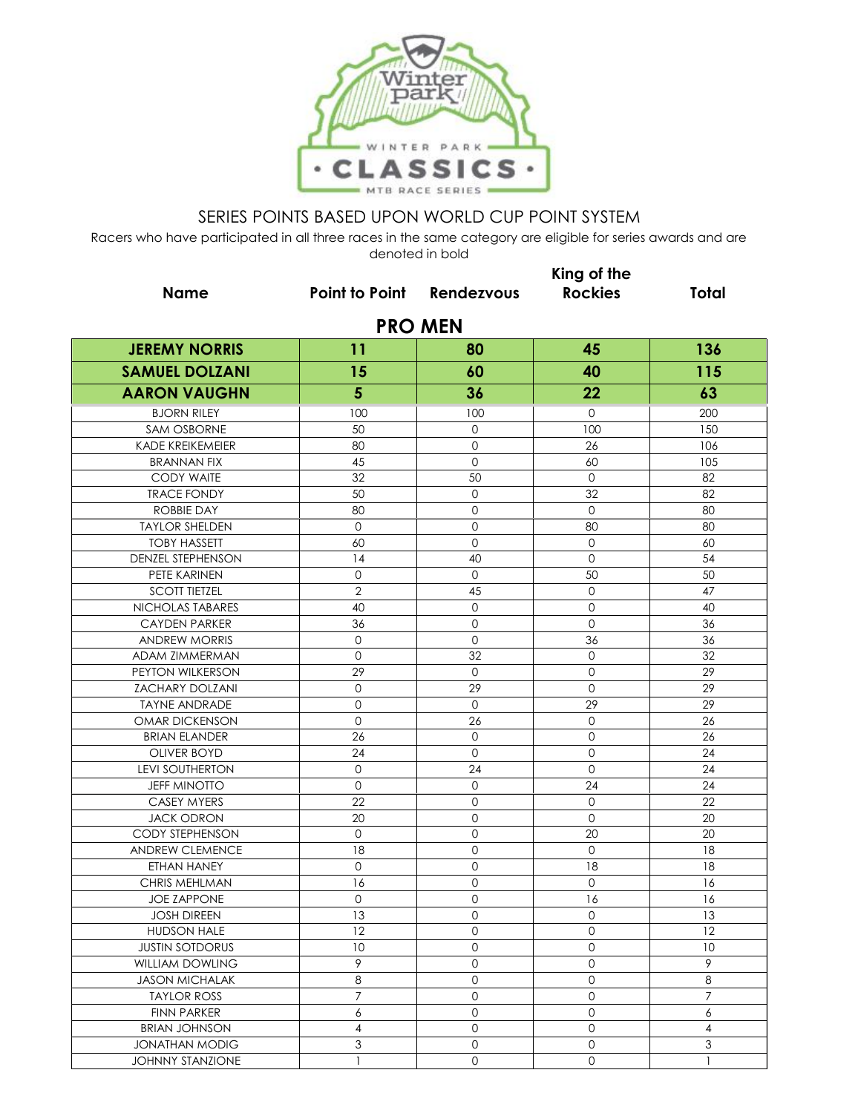

|                         |                                  |                     | King of the         |                  |  |  |  |
|-------------------------|----------------------------------|---------------------|---------------------|------------------|--|--|--|
| <b>Name</b>             | <b>Point to Point Rendezvous</b> |                     | <b>Rockies</b>      | <b>Total</b>     |  |  |  |
| <b>PRO MEN</b>          |                                  |                     |                     |                  |  |  |  |
| <b>JEREMY NORRIS</b>    | 11                               | 80                  | 45                  | 136              |  |  |  |
| <b>SAMUEL DOLZANI</b>   | 15                               | 60                  | 40                  | 115              |  |  |  |
| <b>AARON VAUGHN</b>     | 5                                | 36                  | 22                  | 63               |  |  |  |
| <b>BJORN RILEY</b>      | 100                              | 100                 | 0                   | 200              |  |  |  |
| SAM OSBORNE             | 50                               | 0                   | 100                 | 150              |  |  |  |
| KADE KREIKEMEIER        | 80                               | 0                   | 26                  | 106              |  |  |  |
| <b>BRANNAN FIX</b>      | 45                               | $\circ$             | 60                  | 105              |  |  |  |
| <b>CODY WAITE</b>       | 32                               | 50                  | $\circ$             | 82               |  |  |  |
| <b>TRACE FONDY</b>      | 50                               | $\mathbf 0$         | 32                  | 82               |  |  |  |
| <b>ROBBIE DAY</b>       | 80                               | $\mathbf 0$         | $\mathbf{0}$        | 80               |  |  |  |
| <b>TAYLOR SHELDEN</b>   | $\mathbf{0}$                     | 0                   | 80                  | 80               |  |  |  |
| <b>TOBY HASSETT</b>     | 60                               | 0                   | $\mathbf{O}$        | 60               |  |  |  |
| DENZEL STEPHENSON       | 14                               | 40                  | $\mathbf 0$         | 54               |  |  |  |
| PETE KARINEN            | $\circ$                          | $\circ$             | 50                  | 50               |  |  |  |
| <b>SCOTT TIETZEL</b>    | $\overline{2}$                   | 45                  | $\mathbf{O}$        | 47               |  |  |  |
| NICHOLAS TABARES        | 40                               | $\circ$             | $\mathbf{O}$        | 40               |  |  |  |
| <b>CAYDEN PARKER</b>    | 36                               | 0                   | $\mathbf{O}$        | 36               |  |  |  |
| <b>ANDREW MORRIS</b>    | $\mathbf{O}$                     | 0                   | 36                  | 36               |  |  |  |
| ADAM ZIMMERMAN          | $\circ$                          | 32                  | $\mathbf 0$         | 32               |  |  |  |
| PEYTON WILKERSON        | 29                               | $\circ$             | $\mathbf 0$         | 29               |  |  |  |
| <b>ZACHARY DOLZANI</b>  | $\mathsf{O}\xspace$              | 29                  | $\mathbf 0$         | 29               |  |  |  |
| <b>TAYNE ANDRADE</b>    | $\circ$                          | $\circ$             | 29                  | 29               |  |  |  |
| OMAR DICKENSON          | $\mathbf{0}$                     | 26                  | $\mathbf 0$         | 26               |  |  |  |
| <b>BRIAN ELANDER</b>    | 26                               | 0                   | 0                   | 26               |  |  |  |
| <b>OLIVER BOYD</b>      | 24                               | $\mathbf 0$         | $\mathbf 0$         | 24               |  |  |  |
| <b>LEVI SOUTHERTON</b>  | $\mathbf 0$                      | 24                  | $\mathbf 0$         | 24               |  |  |  |
| <b>JEFF MINOTTO</b>     | $\circ$                          | $\mathbf 0$         | 24                  | 24               |  |  |  |
| CASEY MYERS             | 22                               | $\mathsf{O}$        | 0                   | 22               |  |  |  |
| <b>JACK ODRON</b>       | 20                               | 0                   | $\mathbf{O}$        | 20               |  |  |  |
| <b>CODY STEPHENSON</b>  | $\mathbf 0$                      | 0                   | 20                  | 20               |  |  |  |
| ANDREW CLEMENCE         | 18                               | 0                   | $\mathbf 0$         | 18               |  |  |  |
| ETHAN HANEY             | $\circ$                          | 0                   | 18                  | 18               |  |  |  |
| CHRIS MEHLMAN           | 16                               | 0                   | $\mathbf 0$         | 16               |  |  |  |
| <b>JOE ZAPPONE</b>      | $\mathbf 0$                      | $\mathsf{O}$        | 16                  | 16               |  |  |  |
| <b>JOSH DIREEN</b>      | 13                               | 0                   | $\mathsf{O}\xspace$ | 13               |  |  |  |
| HUDSON HALE             | 12                               | 0                   | 0                   | 12               |  |  |  |
| <b>JUSTIN SOTDORUS</b>  | 10                               | 0                   | 0                   | 10               |  |  |  |
| <b>WILLIAM DOWLING</b>  | 9                                | 0                   | $\mathsf{O}\xspace$ | 9                |  |  |  |
| <b>JASON MICHALAK</b>   | 8                                | $\mathbf 0$         | $\mathsf{O}\xspace$ | 8                |  |  |  |
| <b>TAYLOR ROSS</b>      | $\overline{7}$                   | $\mathsf{O}\xspace$ | 0                   | $\overline{7}$   |  |  |  |
| <b>FINN PARKER</b>      | 6                                | $\mathsf{O}$        | $\mathsf{O}\xspace$ | $\boldsymbol{6}$ |  |  |  |
| <b>BRIAN JOHNSON</b>    | $\overline{4}$                   | $\circ$             | $\mathsf{O}\xspace$ | $\overline{4}$   |  |  |  |
| <b>JONATHAN MODIG</b>   | 3                                | 0                   | $\mathsf{O}\xspace$ | 3                |  |  |  |
| <b>JOHNNY STANZIONE</b> | $\mathbf{1}$                     | $\mathsf{O}$        | $\mathsf{O}\xspace$ | $\mathbf{1}$     |  |  |  |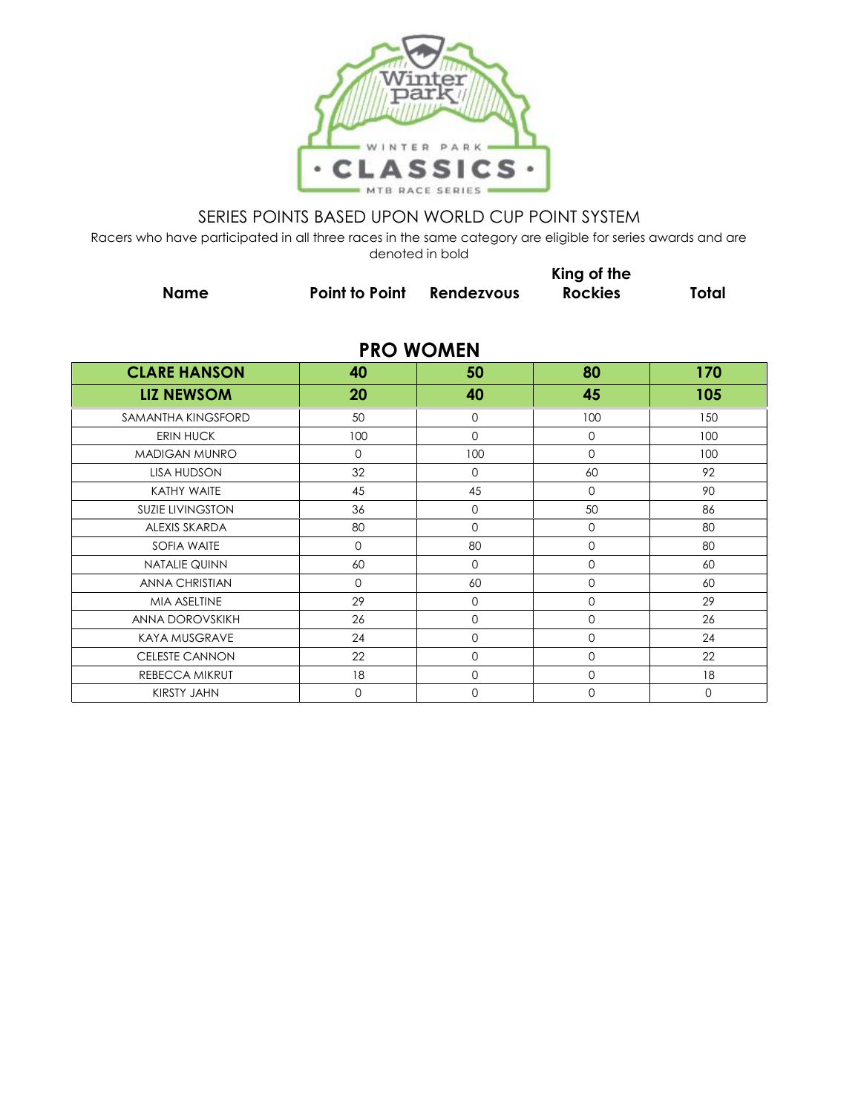

Racers who have participated in all three races in the same category are eligible for series awards and are denoted in bold

|                         |                | <u>UCHULCA III NOIU</u> |                               |              |
|-------------------------|----------------|-------------------------|-------------------------------|--------------|
| <b>Name</b>             | Point to Point | <b>Rendezvous</b>       | King of the<br><b>Rockies</b> | <b>Total</b> |
|                         |                | <b>PRO WOMEN</b>        |                               |              |
| <b>CLARE HANSON</b>     | 40             | 50                      | 80                            | 170          |
| <b>LIZ NEWSOM</b>       | 20             | 40                      | 45                            | 105          |
| SAMANTHA KINGSFORD      | 50             | 0                       | 100                           | 150          |
| <b>ERIN HUCK</b>        | 100            | $\mathbf{0}$            | $\mathbf 0$                   | 100          |
| <b>MADIGAN MUNRO</b>    | $\Omega$       | 100                     | $\Omega$                      | 100          |
| <b>LISA HUDSON</b>      | 32             | $\mathbf{0}$            | 60                            | 92           |
| KATHY WAITE             | 45             | 45                      | $\Omega$                      | 90           |
| <b>SUZIE LIVINGSTON</b> | 36             | 0                       | 50                            | 86           |
| <b>ALEXIS SKARDA</b>    | 80             | $\mathbf 0$             | $\mathbf 0$                   | 80           |
| <b>SOFIA WAITE</b>      | $\mathbf 0$    | 80                      | 0                             | 80           |
| <b>NATALIE QUINN</b>    | 60             | $\mathbf 0$             | 0                             | 60           |
| <b>ANNA CHRISTIAN</b>   | $\mathbf 0$    | 60                      | 0                             | 60           |
| MIA ASELTINE            | 29             | 0                       | 0                             | 29           |
| ANNA DOROVSKIKH         | 26             | 0                       | 0                             | 26           |
| <b>KAYA MUSGRAVE</b>    | 24             | 0                       | 0                             | 24           |

CELESTE CANNON 22 0 0 22 REBECCA MIKRUT 18 0 0 18 KIRSTY JAHN 0 0 0 0 0 0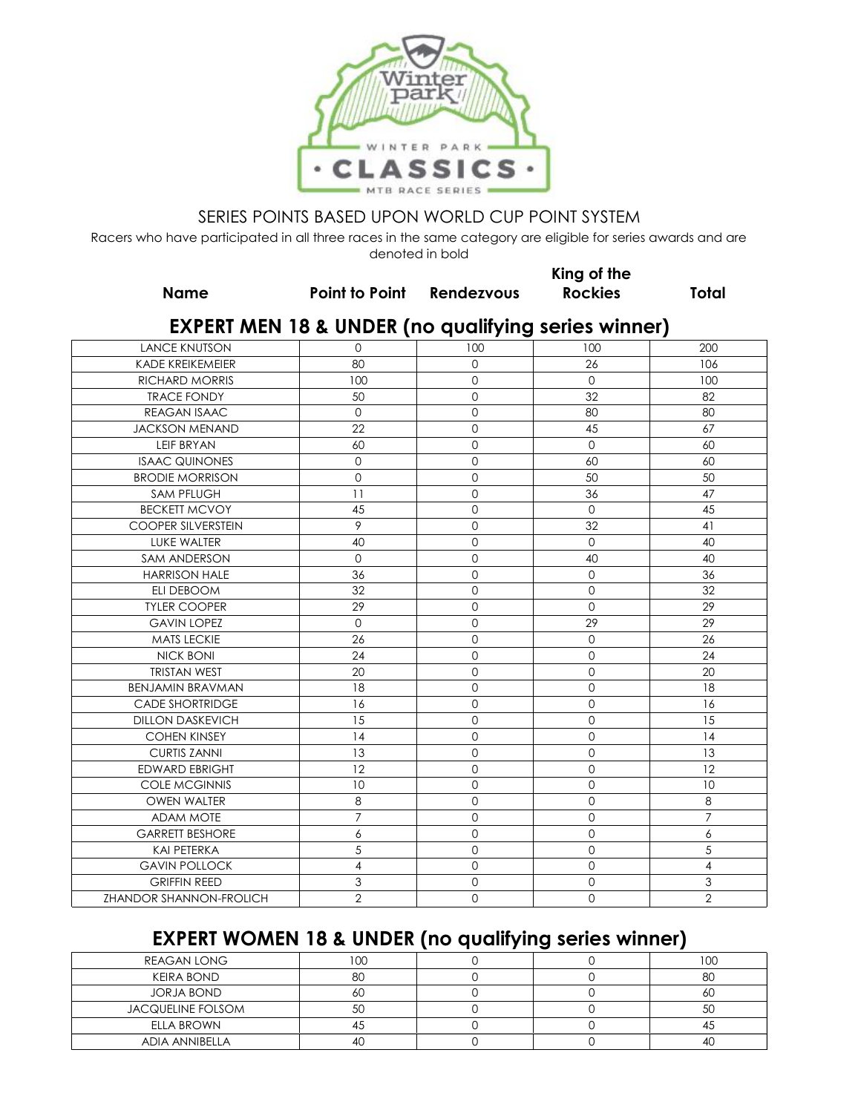

Racers who have participated in all three races in the same category are eligible for series awards and are denoted in bold

**King of the** 

| <b>Name</b>                    | Point to Point Rendezvous                                      |             | <b>Rockies</b> | <b>Total</b>   |
|--------------------------------|----------------------------------------------------------------|-------------|----------------|----------------|
|                                | <b>EXPERT MEN 18 &amp; UNDER (no qualifying series winner)</b> |             |                |                |
| <b>LANCE KNUTSON</b>           | $\mathbf 0$                                                    | 100         | 100            | 200            |
| <b>KADE KREIKEMEIER</b>        | 80                                                             | $\Omega$    | 26             | 106            |
| <b>RICHARD MORRIS</b>          | 100                                                            | 0           | $\mathbf 0$    | 100            |
| <b>TRACE FONDY</b>             | 50                                                             | $\Omega$    | 32             | 82             |
| REAGAN ISAAC                   | $\Omega$                                                       | $\Omega$    | 80             | 80             |
| <b>JACKSON MENAND</b>          | 22                                                             | 0           | 45             | 67             |
| <b>LEIF BRYAN</b>              | 60                                                             | $\Omega$    | $\Omega$       | 60             |
| <b>ISAAC QUINONES</b>          | $\mathbf 0$                                                    | 0           | 60             | 60             |
| <b>BRODIE MORRISON</b>         | $\Omega$                                                       | $\Omega$    | 50             | 50             |
| <b>SAM PFLUGH</b>              | 11                                                             | 0           | 36             | 47             |
| <b>BECKETT MCVOY</b>           | 45                                                             | 0           | $\mathbf 0$    | 45             |
| <b>COOPER SILVERSTEIN</b>      | 9                                                              | 0           | 32             | 41             |
| LUKE WALTER                    | 40                                                             | 0           | $\mathbf{O}$   | 40             |
| <b>SAM ANDERSON</b>            | $\Omega$                                                       | 0           | 40             | 40             |
| <b>HARRISON HALE</b>           | 36                                                             | 0           | $\mathbf 0$    | 36             |
| <b>ELI DEBOOM</b>              | 32                                                             | $\Omega$    | $\Omega$       | 32             |
| <b>TYLER COOPER</b>            | 29                                                             | 0           | $\mathbf 0$    | 29             |
| <b>GAVIN LOPEZ</b>             | $\mathbf 0$                                                    | $\mathbf 0$ | 29             | 29             |
| <b>MATS LECKIE</b>             | 26                                                             | $\Omega$    | $\Omega$       | 26             |
| <b>NICK BONI</b>               | 24                                                             | $\mathbf 0$ | $\mathbf 0$    | 24             |
| <b>TRISTAN WEST</b>            | 20                                                             | $\Omega$    | $\Omega$       | 20             |
| <b>BENJAMIN BRAVMAN</b>        | 18                                                             | 0           | $\mathbf 0$    | 18             |
| <b>CADE SHORTRIDGE</b>         | 16                                                             | 0           | $\mathbf 0$    | 16             |
| <b>DILLON DASKEVICH</b>        | 15                                                             | 0           | $\mathbf 0$    | 15             |
| <b>COHEN KINSEY</b>            | 14                                                             | 0           | 0              | 14             |
| <b>CURTIS ZANNI</b>            | 13                                                             | 0           | $\Omega$       | 13             |
| <b>EDWARD EBRIGHT</b>          | 12                                                             | 0           | 0              | 12             |
| <b>COLE MCGINNIS</b>           | 10                                                             | 0           | 0              | 10             |
| <b>OWEN WALTER</b>             | 8                                                              | 0           | $\Omega$       | 8              |
| <b>ADAM MOTE</b>               | $\overline{7}$                                                 | 0           | 0              | $\overline{7}$ |
| <b>GARRETT BESHORE</b>         | 6                                                              | 0           | 0              | 6              |
| <b>KAI PETERKA</b>             | 5                                                              | 0           | 0              | 5              |
| <b>GAVIN POLLOCK</b>           | $\overline{\mathbf{4}}$                                        | $\Omega$    | $\Omega$       | $\overline{4}$ |
| <b>GRIFFIN REED</b>            | 3                                                              | 0           | 0              | $\mathfrak 3$  |
| <b>ZHANDOR SHANNON-FROLICH</b> | $\overline{2}$                                                 | 0           | 0              | $\mathbf{2}$   |

# **EXPERT WOMEN 18 & UNDER (no qualifying series winner)**

| <b>REAGAN LONG</b>       | $\sim$  |  | 100 |
|--------------------------|---------|--|-----|
| KEIRA BOND               | $\circ$ |  | 80  |
| <b>JORJA BOND</b>        | OΥ.     |  | OU  |
| <b>JACQUELINE FOLSOM</b> | JV.     |  | 5C  |
| <b>ELLA BROWN</b>        |         |  |     |
| <b>ADIA ANNIBELLA</b>    | 4(      |  | -4C |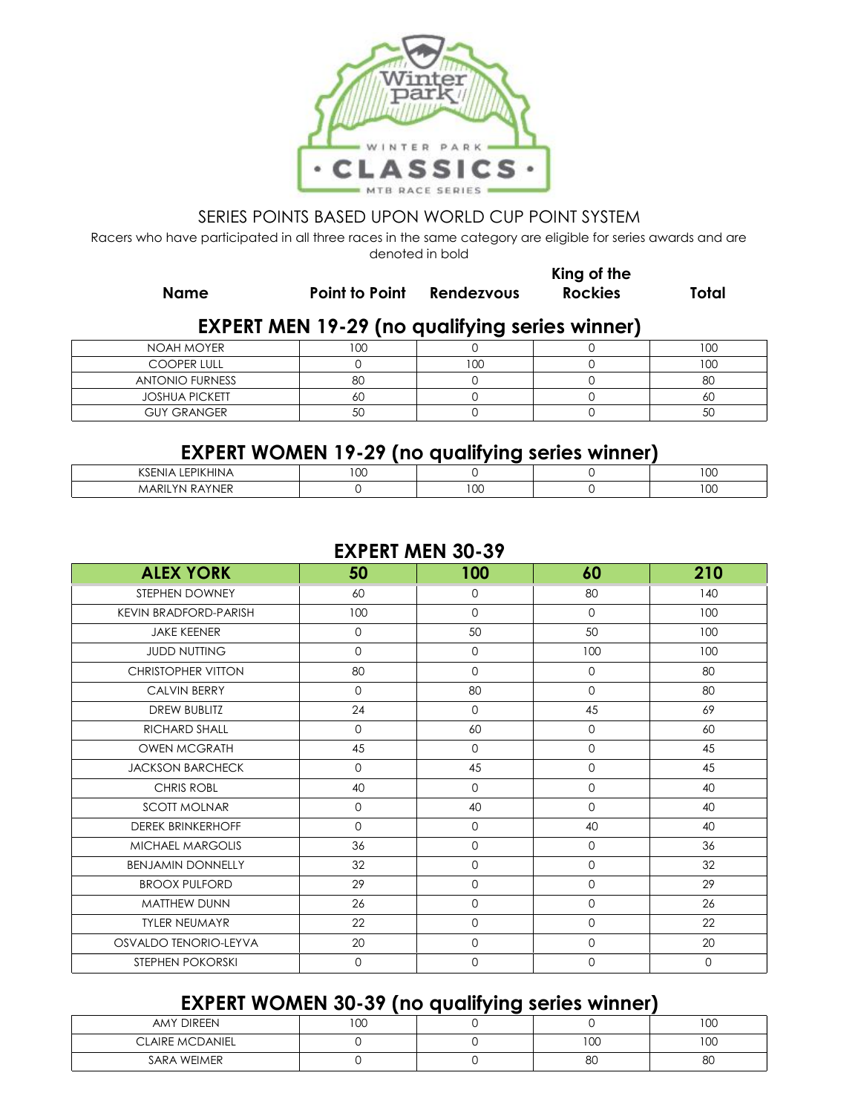

Racers who have participated in all three races in the same category are eligible for series awards and are denoted in bold

**Name Point to Point Rendezvous**

**Rockies Total**

**King of the** 

### **EXPERT MEN 19-29 (no qualifying series winner)**

| NOAH MOYER             | ח ו<br>UU. |     | 100 |
|------------------------|------------|-----|-----|
| <b>COOPER LULL</b>     |            | 100 | 100 |
| <b>ANTONIO FURNESS</b> | 80         |     | 8C  |
| <b>JOSHUA PICKETT</b>  | ou         |     | 6U  |
| <b>GUY GRANGER</b>     | 51<br>JU   |     | 5С  |

## **EXPERT WOMEN 19-29 (no qualifying series winner)**

|                                                               |             | --          |                     |
|---------------------------------------------------------------|-------------|-------------|---------------------|
| $-0.112111111$<br>$(20 -$<br>ENI)<br>™ HINA<br>INI<br>ושרו    | $\sim$<br>◡ |             | $\sim$ $\sim$<br>טע |
| $\cdots$<br><b>ARI</b><br><b>YNER</b><br>◡<br>- IN<br>M,<br>ĸ |             | $\sim$<br>w | $\sim$ $\sim$<br>טע |

#### **EXPERT MEN 30-39**

| <b>ALEX YORK</b>             | 50          | 100         | 60                  | 210         |
|------------------------------|-------------|-------------|---------------------|-------------|
| STEPHEN DOWNEY               | 60          | 0           | 80                  | 140         |
| <b>KEVIN BRADFORD-PARISH</b> | 100         | 0           | $\mathbf{O}$        | 100         |
| <b>JAKE KEENER</b>           | $\mathbf 0$ | 50          | 50                  | 100         |
| <b>JUDD NUTTING</b>          | $\circ$     | 0           | 100                 | 100         |
| <b>CHRISTOPHER VITTON</b>    | 80          | $\Omega$    | $\mathbf 0$         | 80          |
| <b>CALVIN BERRY</b>          | $\mathbf 0$ | 80          | $\mathsf{O}\xspace$ | 80          |
| <b>DREW BUBLITZ</b>          | 24          | 0           | 45                  | 69          |
| RICHARD SHALL                | $\mathbf 0$ | 60          | $\mathbf{0}$        | 60          |
| <b>OWEN MCGRATH</b>          | 45          | $\Omega$    | $\mathbf 0$         | 45          |
| <b>JACKSON BARCHECK</b>      | $\circ$     | 45          | $\mathbf{O}$        | 45          |
| <b>CHRIS ROBL</b>            | 40          | $\Omega$    | $\mathbf 0$         | 40          |
| <b>SCOTT MOLNAR</b>          | $\mathbf 0$ | 40          | $\mathbf 0$         | 40          |
| <b>DEREK BRINKERHOFF</b>     | $\mathbf 0$ | $\mathbf 0$ | 40                  | 40          |
| <b>MICHAEL MARGOLIS</b>      | 36          | 0           | $\mathbf{0}$        | 36          |
| <b>BENJAMIN DONNELLY</b>     | 32          | $\mathbf 0$ | $\mathbf 0$         | 32          |
| <b>BROOX PULFORD</b>         | 29          | $\Omega$    | $\mathbf 0$         | 29          |
| <b>MATTHEW DUNN</b>          | 26          | $\Omega$    | $\mathbf{0}$        | 26          |
| <b>TYLER NEUMAYR</b>         | 22          | $\mathbf 0$ | $\mathbf{O}$        | 22          |
| OSVALDO TENORIO-LEYVA        | 20          | $\mathbf 0$ | $\mathbf 0$         | 20          |
| STEPHEN POKORSKI             | $\mathbf 0$ | $\mathbf 0$ | $\mathbf 0$         | $\mathbf 0$ |

# **EXPERT WOMEN 30-39 (no qualifying series winner)**

|                        | .            | -------- |     |     |
|------------------------|--------------|----------|-----|-----|
| AMY DIREEN             | $\cap$<br>vu |          |     | 100 |
| <b>CLAIRE MCDANIEL</b> |              |          | 100 | 100 |
| SARA WEIMER            |              |          | 80  | 8C  |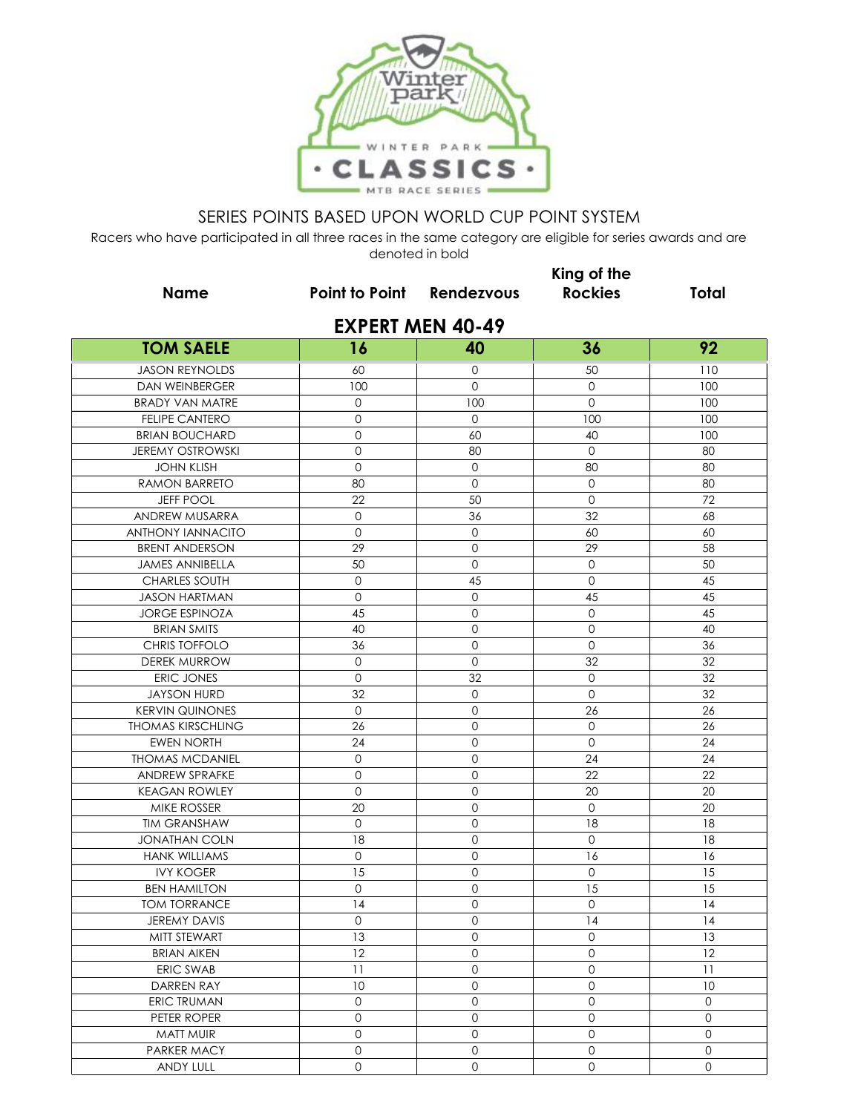

|                          | King of the                      |                         |                     |              |  |  |
|--------------------------|----------------------------------|-------------------------|---------------------|--------------|--|--|
| <b>Name</b>              | <b>Point to Point Rendezvous</b> |                         | <b>Rockies</b>      | <b>Total</b> |  |  |
|                          |                                  | <b>EXPERT MEN 40-49</b> |                     |              |  |  |
| <b>TOM SAELE</b>         | 16                               | 40                      | 36                  | 92           |  |  |
| <b>JASON REYNOLDS</b>    | 60                               | $\mathbf{O}$            | 50                  | 110          |  |  |
| <b>DAN WEINBERGER</b>    | 100                              | $\Omega$                | $\mathbf 0$         | 100          |  |  |
| <b>BRADY VAN MATRE</b>   | $\mathbf 0$                      | 100                     | $\mathbf 0$         | 100          |  |  |
| <b>FELIPE CANTERO</b>    | $\mathbf 0$                      | $\circ$                 | 100                 | 100          |  |  |
| <b>BRIAN BOUCHARD</b>    | $\mathbf{0}$                     | 60                      | 40                  | 100          |  |  |
| <b>JEREMY OSTROWSKI</b>  | 0                                | 80                      | 0                   | 80           |  |  |
| <b>JOHN KLISH</b>        | $\mathbf 0$                      | $\mathsf{O}$            | 80                  | 80           |  |  |
| RAMON BARRETO            | 80                               | $\mathbf 0$             | $\mathbf 0$         | 80           |  |  |
| <b>JEFF POOL</b>         | 22                               | 50                      | $\mathbf 0$         | 72           |  |  |
| ANDREW MUSARRA           | $\mathbf{O}$                     | 36                      | 32                  | 68           |  |  |
| <b>ANTHONY IANNACITO</b> | $\mathbf{O}$                     | $\mathbf{O}$            | 60                  | 60           |  |  |
| <b>BRENT ANDERSON</b>    | 29                               | 0                       | 29                  | 58           |  |  |
| <b>JAMES ANNIBELLA</b>   | 50                               | $\mathbf 0$             | $\circ$             | 50           |  |  |
| <b>CHARLES SOUTH</b>     | $\mathsf{O}\xspace$              | 45                      | $\circ$             | 45           |  |  |
| <b>JASON HARTMAN</b>     | $\mathbf 0$                      | $\mathbf{O}$            | 45                  | 45           |  |  |
| <b>JORGE ESPINOZA</b>    | 45                               | $\mathsf{O}$            | $\mathbf 0$         | 45           |  |  |
| <b>BRIAN SMITS</b>       | 40                               | $\mathbf{O}$            | $\mathbf{0}$        | 40           |  |  |
| <b>CHRIS TOFFOLO</b>     | 36                               | 0                       | $\mathbf 0$         | 36           |  |  |
| <b>DEREK MURROW</b>      | $\mathbf{0}$                     | $\mathsf{O}$            | 32                  | 32           |  |  |
| ERIC JONES               | $\circ$                          | 32                      | $\mathbf 0$         | 32           |  |  |
| <b>JAYSON HURD</b>       | 32                               | $\mathbf{O}$            | $\mathbf 0$         | 32           |  |  |
| <b>KERVIN QUINONES</b>   | $\circ$                          | 0                       | 26                  | 26           |  |  |
| <b>THOMAS KIRSCHLING</b> | 26                               | 0                       | $\mathbf 0$         | 26           |  |  |
| <b>EWEN NORTH</b>        | 24                               | $\mathbf 0$             | $\overline{0}$      | 24           |  |  |
| <b>THOMAS MCDANIEL</b>   | $\mathsf{O}\xspace$              | 0                       | 24                  | 24           |  |  |
| <b>ANDREW SPRAFKE</b>    | $\overline{0}$                   | $\mathbf 0$             | 22                  | 22           |  |  |
| <b>KEAGAN ROWLEY</b>     | $\mathbf 0$                      | $\mathbf 0$             | 20                  | 20           |  |  |
| MIKE ROSSER              | 20                               | 0                       | $\mathbf 0$         | 20           |  |  |
| <b>TIM GRANSHAW</b>      | $\mathsf{O}\xspace$              | 0                       | 18                  | 18           |  |  |
| <b>JONATHAN COLN</b>     | 18                               | 0                       | $\mathbf 0$         | 18           |  |  |
| <b>HANK WILLIAMS</b>     | $\mathbf{O}$                     | 0                       | 16                  | 16           |  |  |
| <b>IVY KOGER</b>         | 15                               | $\mathbf 0$             | $\mathbf 0$         | 15           |  |  |
| <b>BEN HAMILTON</b>      | $\mathbf{0}$                     | $\Omega$                | 15                  | 15           |  |  |
| <b>TOM TORRANCE</b>      | 14                               | $\mathsf{O}\xspace$     | $\mathsf{O}\xspace$ | 14           |  |  |
| JEREMY DAVIS             | $\mathbf 0$                      | $\mathsf{O}\xspace$     | 14                  | 4            |  |  |
| MITT STEWART             | 13                               | $\overline{0}$          | $\mathsf{O}\xspace$ | 13           |  |  |
| <b>BRIAN AIKEN</b>       | 12                               | 0                       | $\mathsf{O}\xspace$ | 12           |  |  |
| ERIC SWAB                | 11                               | 0                       | $\mathsf{O}\xspace$ | 11           |  |  |
| DARREN RAY               | 10                               | $\circ$                 | $\mathsf{O}\xspace$ | 10           |  |  |
| <b>ERIC TRUMAN</b>       | $\mathsf{O}\xspace$              | $\circ$                 | $\mathsf{O}\xspace$ | $\mathbf{O}$ |  |  |
| PETER ROPER              | $\mathsf{O}\xspace$              | $\mathsf{O}$            | $\mathsf{O}\xspace$ | $\mathbf{O}$ |  |  |
| MATT MUIR                | $\mathbf 0$                      | $\mathbf{0}$            | $\mathsf{O}\xspace$ | $\mathsf{O}$ |  |  |
| PARKER MACY              | $\circ$                          | 0                       | $\overline{0}$      | $\mathsf{O}$ |  |  |
| ANDY LULL                | $\mathsf{O}$                     | $\mathsf O$             | $\mathsf{O}\xspace$ | $\mathbf{O}$ |  |  |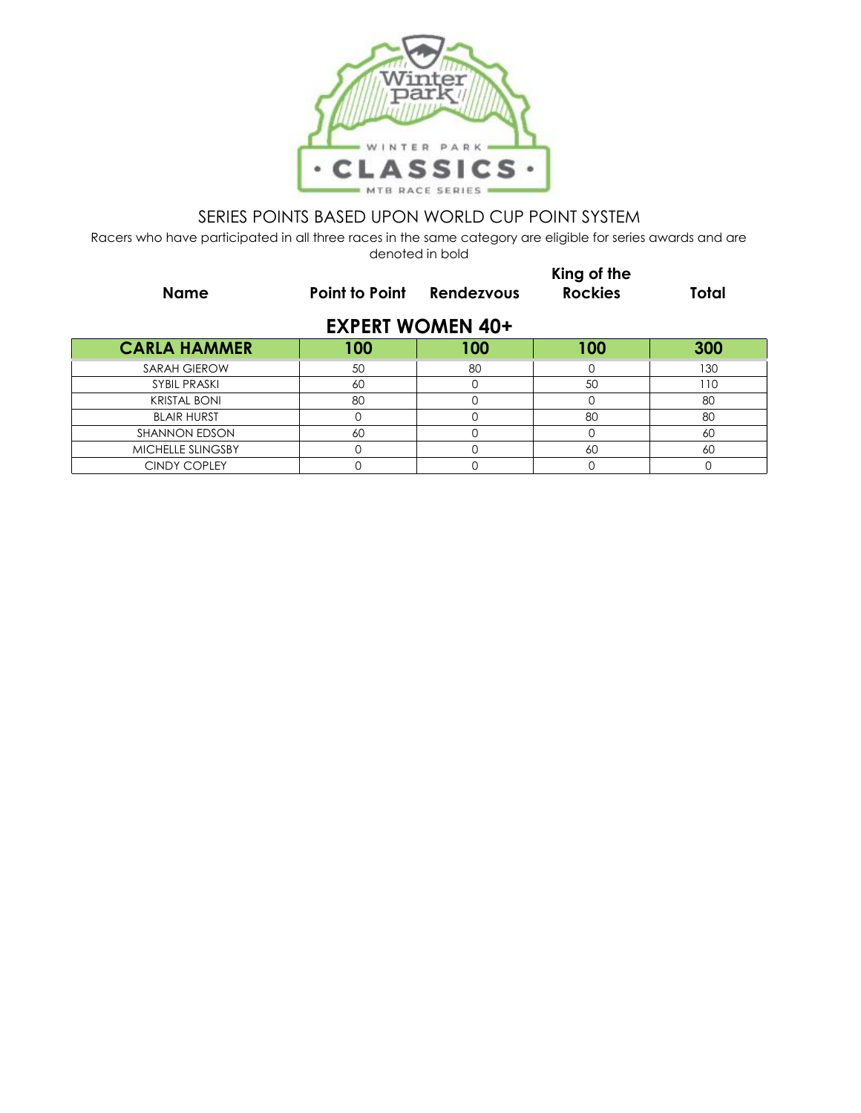

| <b>Name</b>          | Point to Point | Rendezvous              | King of the<br><b>Rockies</b> | Total |
|----------------------|----------------|-------------------------|-------------------------------|-------|
|                      |                | <b>EXPERT WOMEN 40+</b> |                               |       |
| <b>CARLA HAMMER</b>  | 100            | 100                     | 100                           | 300   |
| SARAH GIEROW         | 50             | 80                      | O                             | 130   |
| <b>SYBIL PRASKI</b>  | 60             | Ω                       | 50                            | 110   |
| <b>KRISTAL BONI</b>  | 80             |                         |                               | 80    |
| <b>BLAIR HURST</b>   |                |                         | 80                            | 80    |
| <b>SHANNON EDSON</b> | 60             |                         | O                             | 60    |
| MICHELLE SLINGSBY    | $\Omega$       |                         | 60                            | 60    |
| <b>CINDY COPLEY</b>  |                |                         | 0                             |       |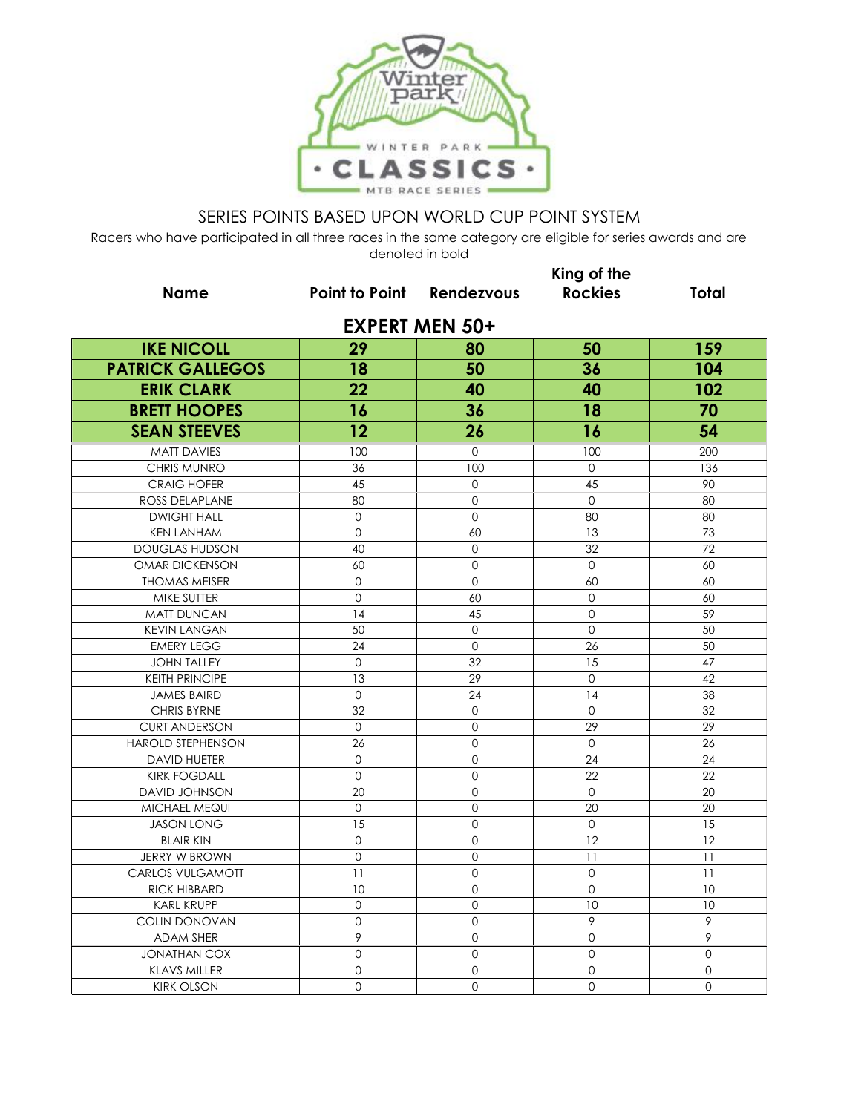

|                          |                                  |              | King of the    |              |  |  |  |
|--------------------------|----------------------------------|--------------|----------------|--------------|--|--|--|
| <b>Name</b>              | <b>Point to Point Rendezvous</b> |              | <b>Rockies</b> | <b>Total</b> |  |  |  |
| <b>EXPERT MEN 50+</b>    |                                  |              |                |              |  |  |  |
| <b>IKE NICOLL</b>        | 29                               | 80           | 50             | 159          |  |  |  |
| <b>PATRICK GALLEGOS</b>  | 18                               | 50           | 36             | 104          |  |  |  |
| <b>ERIK CLARK</b>        | 22                               | 40           | 40             | 102          |  |  |  |
| <b>BRETT HOOPES</b>      | 16                               | 36           | 18             | 70           |  |  |  |
| <b>SEAN STEEVES</b>      | 12                               | 26           | 16             | 54           |  |  |  |
| <b>MATT DAVIES</b>       | 100                              | $\Omega$     | 100            | 200          |  |  |  |
| <b>CHRIS MUNRO</b>       | 36                               | 100          | $\Omega$       | 136          |  |  |  |
| <b>CRAIG HOFER</b>       | 45                               | $\mathbf{0}$ | 45             | 90           |  |  |  |
| ROSS DELAPLANE           | 80                               | $\mathbf{0}$ | $\mathbf{0}$   | 80           |  |  |  |
| <b>DWIGHT HALL</b>       | $\mathbf 0$                      | $\Omega$     | 80             | 80           |  |  |  |
| <b>KEN LANHAM</b>        | $\mathbf{O}$                     | 60           | 13             | 73           |  |  |  |
| <b>DOUGLAS HUDSON</b>    | 40                               | $\mathbf{0}$ | 32             | 72           |  |  |  |
| OMAR DICKENSON           | 60                               | $\Omega$     | $\mathbf{O}$   | 60           |  |  |  |
| <b>THOMAS MEISER</b>     | 0                                | $\mathbf{O}$ | 60             | 60           |  |  |  |
| MIKE SUTTER              | $\mathbf{O}$                     | 60           | $\mathbf 0$    | 60           |  |  |  |
| <b>MATT DUNCAN</b>       | 14                               | 45           | $\mathbf 0$    | 59           |  |  |  |
| <b>KEVIN LANGAN</b>      | 50                               | $\mathbf 0$  | $\mathbf 0$    | 50           |  |  |  |
| <b>EMERY LEGG</b>        | 24                               | $\mathbf{O}$ | 26             | 50           |  |  |  |
| <b>JOHN TALLEY</b>       | $\mathbf 0$                      | 32           | 15             | 47           |  |  |  |
| <b>KEITH PRINCIPE</b>    | 13                               | 29           | $\overline{0}$ | 42           |  |  |  |
| <b>JAMES BAIRD</b>       | 0                                | 24           | 14             | 38           |  |  |  |
| <b>CHRIS BYRNE</b>       | 32                               | $\mathbf{O}$ | $\mathbf{O}$   | 32           |  |  |  |
| <b>CURT ANDERSON</b>     | 0                                | $\mathbf{O}$ | 29             | 29           |  |  |  |
| <b>HAROLD STEPHENSON</b> | 26                               | $\mathbf 0$  | $\mathbf 0$    | 26           |  |  |  |
| <b>DAVID HUETER</b>      | $\Omega$                         | $\Omega$     | 24             | 24           |  |  |  |
| <b>KIRK FOGDALL</b>      | $\mathsf{O}\xspace$              | $\Omega$     | 22             | 22           |  |  |  |
| DAVID JOHNSON            | 20                               | $\mathbf 0$  | $\mathsf{O}$   | 20           |  |  |  |
| MICHAEL MEQUI            | $\Omega$                         | $\Omega$     | 20             | 20           |  |  |  |
| <b>JASON LONG</b>        | 15                               | $\Omega$     | $\Omega$       | 15           |  |  |  |
| <b>BLAIR KIN</b>         | $\mathbf 0$                      | $\mathbf{O}$ | 12             | 12           |  |  |  |
| <b>JERRY W BROWN</b>     | $\Omega$                         | $\Omega$     | 11             | 11           |  |  |  |
| <b>CARLOS VULGAMOTT</b>  | 11                               | $\Omega$     | $\Omega$       | 11           |  |  |  |
| <b>RICK HIBBARD</b>      | 10                               | $\mathbf 0$  | $\mathbf{O}$   | 10           |  |  |  |
| <b>KARL KRUPP</b>        | $\mathbf 0$                      | 0            | 10             | 10           |  |  |  |
| COLIN DONOVAN            | $\Omega$                         | $\Omega$     | 9              | 9            |  |  |  |
| <b>ADAM SHER</b>         | 9                                | $\mathbf 0$  | $\mathbf{O}$   | 9            |  |  |  |
| <b>JONATHAN COX</b>      | $\overline{0}$                   | 0            | $\overline{0}$ | 0            |  |  |  |
| <b>KLAVS MILLER</b>      | $\mathbf{O}$                     | $\Omega$     | $\mathbf 0$    | $\mathbf 0$  |  |  |  |
| <b>KIRK OLSON</b>        | $\Omega$                         | $\Omega$     | $\Omega$       | $\Omega$     |  |  |  |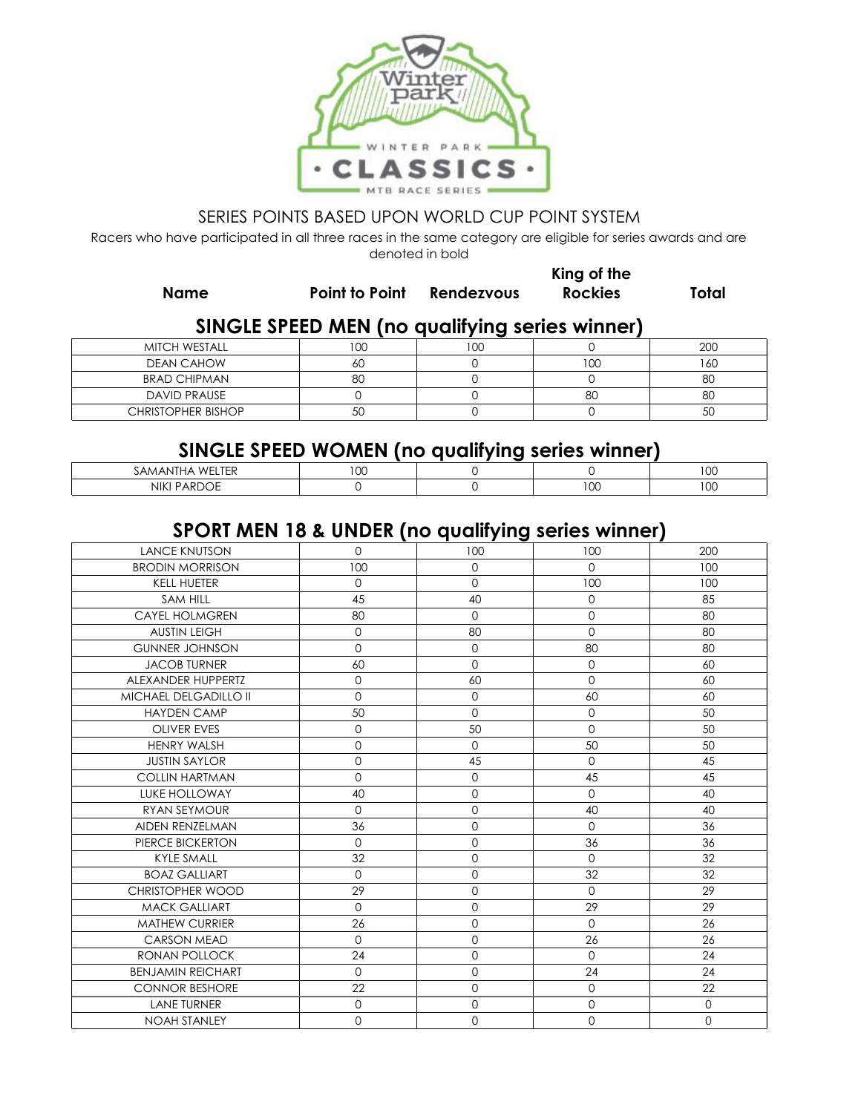

Racers who have participated in all three races in the same category are eligible for series awards and are denoted in bold

**Name Point to Point Rendezvous**

**King of the Rockies Total**

# **SINGLE SPEED MEN (no qualifying series winner)**

| MITCH WESTALL             | ח ה<br>w | 100 |     | 20C |
|---------------------------|----------|-----|-----|-----|
| <b>DEAN CAHOW</b>         | ou       |     | 100 | 160 |
| <b>BRAD CHIPMAN</b>       | 80       |     |     | 8C  |
| <b>DAVID PRAUSE</b>       |          |     | 80  | 8C  |
| <b>CHRISTOPHER BISHOP</b> | ◡        |     |     | 50  |

### **SINGLE SPEED WOMEN (no qualifying series winner)**

| ------                |             |  |                |                                |  |  |  |
|-----------------------|-------------|--|----------------|--------------------------------|--|--|--|
| WH<br>HAP<br>'AMAN'   | $\sim$<br>◡ |  |                | $\ddot{\phantom{1}}$<br>$\sim$ |  |  |  |
| <b>NIKI</b><br>™AKD∪∟ |             |  | $\sim$<br>I UU | $\sim$ $\sim$<br>ט ו           |  |  |  |

# **SPORT MEN 18 & UNDER (no qualifying series winner)**

| <b>LANCE KNUTSON</b>         | $\Omega$     | 100                 | 100         | 200          |
|------------------------------|--------------|---------------------|-------------|--------------|
| <b>BRODIN MORRISON</b>       | 100          | $\mathbf{O}$        | $\mathbf 0$ | 100          |
| <b>KELL HUETER</b>           | $\Omega$     | $\Omega$            | 100         | 100          |
| <b>SAM HILL</b>              | 45           | 40                  | 0           | 85           |
| <b>CAYEL HOLMGREN</b>        | 80           | $\Omega$            | 0           | 80           |
| <b>AUSTIN LEIGH</b>          | 0            | 80                  | 0           | 80           |
| <b>GUNNER JOHNSON</b>        | $\mathbf{O}$ | $\mathbf{O}$        | 80          | 80           |
| <b>JACOB TURNER</b>          | 60           | $\Omega$            | $\mathbf 0$ | 60           |
| ALEXANDER HUPPERTZ           | $\mathbf 0$  | 60                  | $\Omega$    | 60           |
| <b>MICHAEL DELGADILLO II</b> | $\mathbf 0$  | $\circ$             | 60          | 60           |
| <b>HAYDEN CAMP</b>           | 50           | $\Omega$            | 0           | 50           |
| <b>OLIVER EVES</b>           | $\mathbf 0$  | 50                  | $\Omega$    | 50           |
| <b>HENRY WALSH</b>           | $\mathbf{O}$ | $\mathbf 0$         | 50          | 50           |
| <b>JUSTIN SAYLOR</b>         | $\mathbf 0$  | 45                  | $\Omega$    | 45           |
| <b>COLLIN HARTMAN</b>        | $\Omega$     | $\mathbf{O}$        | 45          | 45           |
| <b>LUKE HOLLOWAY</b>         | 40           | $\mathbf 0$         | $\Omega$    | 40           |
| RYAN SEYMOUR                 | $\mathbf 0$  | $\mathbf{O}$        | 40          | 40           |
| AIDEN RENZELMAN              | 36           | $\mathbf 0$         | $\mathbf 0$ | 36           |
| PIERCE BICKERTON             | $\mathbf 0$  | $\mathbf 0$         | 36          | 36           |
| <b>KYLE SMALL</b>            | 32           | $\mathbf 0$         | $\Omega$    | 32           |
| <b>BOAZ GALLIART</b>         | $\mathbf 0$  | $\mathbf{O}$        | 32          | 32           |
| <b>CHRISTOPHER WOOD</b>      | 29           | $\mathsf{O}\xspace$ | $\mathbf 0$ | 29           |
| <b>MACK GALLIART</b>         | $\mathbf 0$  | $\mathbf 0$         | 29          | 29           |
| <b>MATHEW CURRIER</b>        | 26           | $\mathbf 0$         | $\circ$     | 26           |
| <b>CARSON MEAD</b>           | $\Omega$     | $\Omega$            | 26          | 26           |
| <b>RONAN POLLOCK</b>         | 24           | $\mathbf 0$         | $\Omega$    | 24           |
| <b>BENJAMIN REICHART</b>     | $\mathbf 0$  | $\mathbf 0$         | 24          | 24           |
| <b>CONNOR BESHORE</b>        | 22           | $\mathsf{O}\xspace$ | 0           | 22           |
| <b>LANE TURNER</b>           | $\mathbf 0$  | $\mathbf{O}$        | $\mathbf 0$ | $\mathbf{0}$ |
| <b>NOAH STANLEY</b>          | $\Omega$     | $\Omega$            | $\Omega$    | $\Omega$     |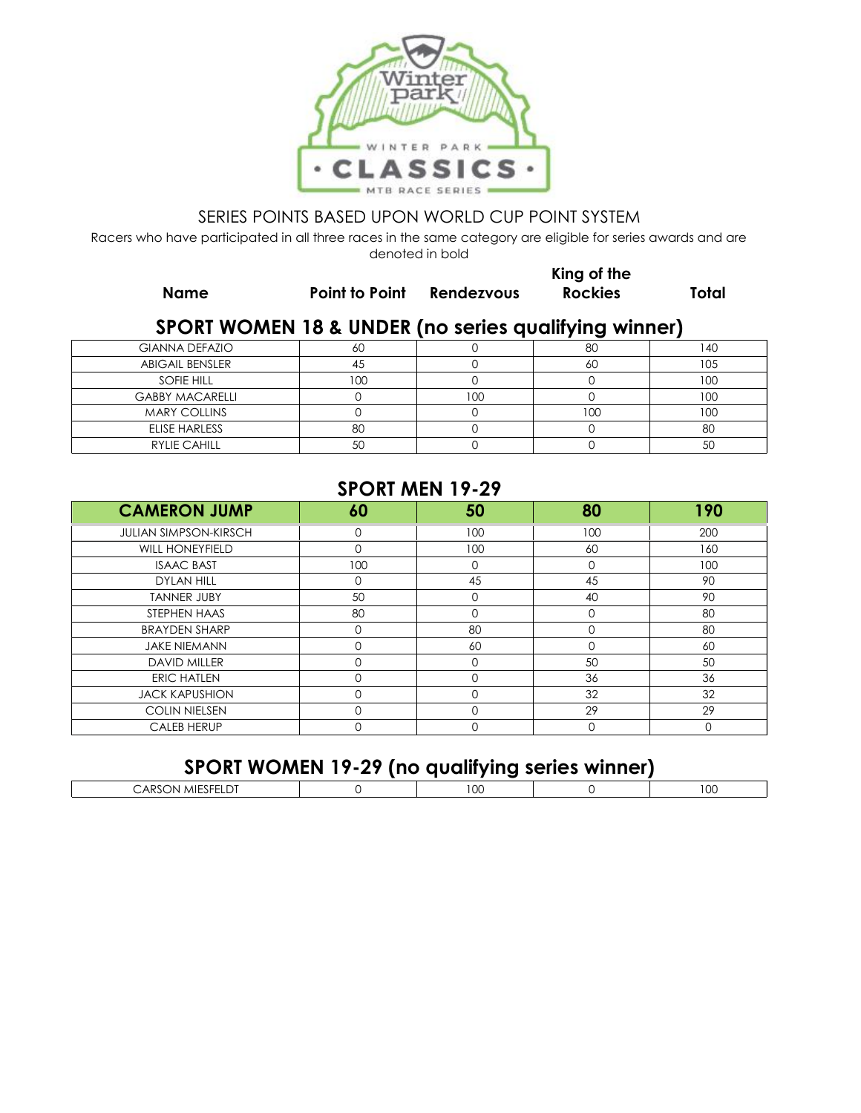

Racers who have participated in all three races in the same category are eligible for series awards and are denoted in bold

**Name Point to Point Rendezvous**

**King of the Rockies Total**

# **SPORT WOMEN 18 & UNDER (no series qualifying winner)**

| <b>GIANNA DEFAZIO</b>  |          | 80  | 40    |
|------------------------|----------|-----|-------|
| <b>ABIGAIL BENSLER</b> |          | 60  |       |
| SOFIE HILL             | I OC     |     | 1 O.C |
| <b>GABBY MACARELLI</b> |          |     |       |
| <b>MARY COLLINS</b>    |          | 100 | 10C   |
| ELISE HARLESS          | or<br>ŏU |     | 8C    |
| <b>RYLIE CAHILL</b>    |          |     |       |

### **SPORT MEN 19-29**

| <b>CAMERON JUMP</b>          | 60  | 50  | 80       | 190      |
|------------------------------|-----|-----|----------|----------|
| <b>JULIAN SIMPSON-KIRSCH</b> |     | 100 | 100      | 200      |
| <b>WILL HONEYFIELD</b>       |     | 100 | 60       | 160      |
| <b>ISAAC BAST</b>            | 100 |     | $\Omega$ | 100      |
| <b>DYLAN HILL</b>            |     | 45  | 45       | 90       |
| <b>TANNER JUBY</b>           | 50  |     | 40       | 90       |
| STEPHEN HAAS                 | 80  |     | U        | 80       |
| <b>BRAYDEN SHARP</b>         |     | 80  |          | 80       |
| <b>JAKE NIEMANN</b>          |     | 60  | 0        | 60       |
| <b>DAVID MILLER</b>          |     |     | 50       | 50       |
| <b>ERIC HATLEN</b>           |     |     | 36       | 36       |
| <b>JACK KAPUSHION</b>        |     |     | 32       | 32       |
| <b>COLIN NIELSEN</b>         |     |     | 29       | 29       |
| <b>CALEB HERUP</b>           |     |     | $\Omega$ | $\Omega$ |

| SPORT WOMEN 19-29 (no qualifying series winner) |  |  |
|-------------------------------------------------|--|--|
| CARSON MIESFELDT                                |  |  |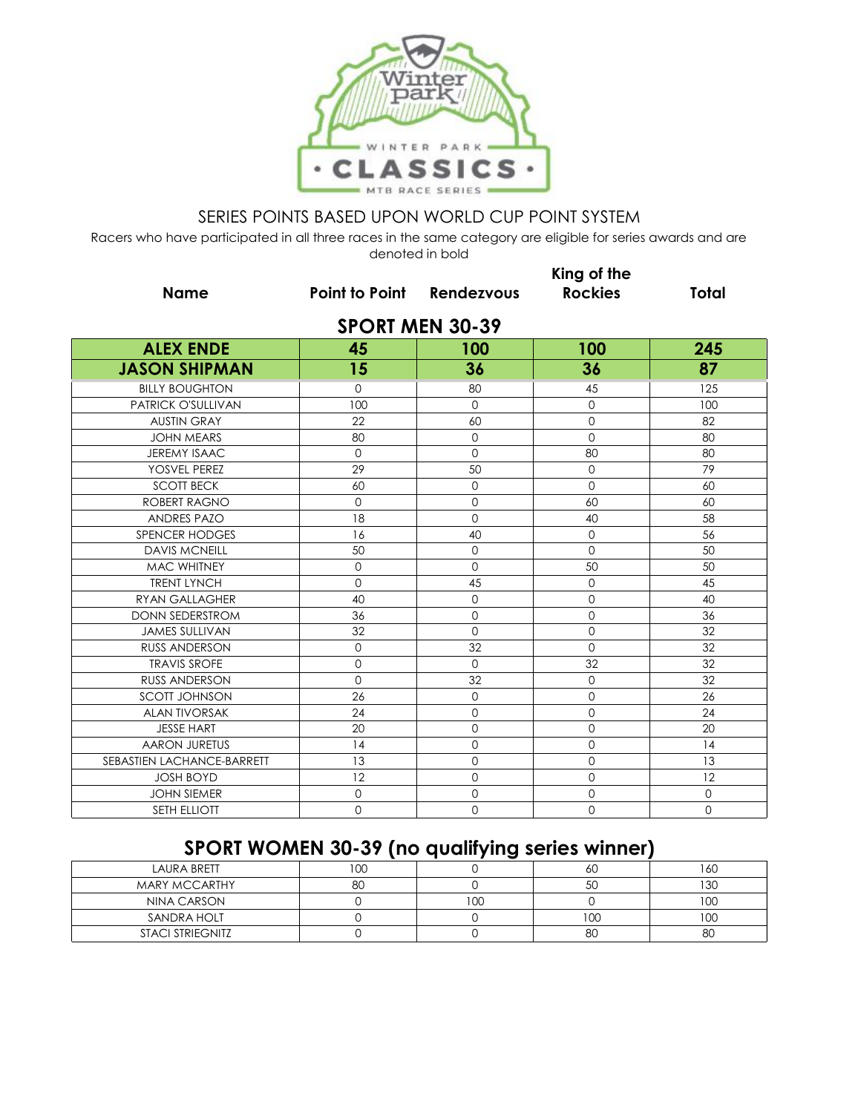

Racers who have participated in all three races in the same category are eligible for series awards and are denoted in bold

|                            | King of the               |                        |                |                |  |  |  |
|----------------------------|---------------------------|------------------------|----------------|----------------|--|--|--|
| <b>Name</b>                | Point to Point Rendezvous |                        | <b>Rockies</b> | <b>Total</b>   |  |  |  |
|                            |                           | <b>SPORT MEN 30-39</b> |                |                |  |  |  |
| <b>ALEX ENDE</b>           | 45                        | 100                    | 100            | 245            |  |  |  |
| <b>JASON SHIPMAN</b>       | 15                        | 36                     | 36             | 87             |  |  |  |
| <b>BILLY BOUGHTON</b>      | $\Omega$                  | 80                     | 45             | 125            |  |  |  |
| <b>PATRICK O'SULLIVAN</b>  | 100                       | $\Omega$               | $\Omega$       | 100            |  |  |  |
| <b>AUSTIN GRAY</b>         | 22                        | 60                     | $\mathbf{O}$   | 82             |  |  |  |
| <b>JOHN MEARS</b>          | 80                        | $\Omega$               | $\Omega$       | 80             |  |  |  |
| JEREMY ISAAC               | $\mathbf 0$               | $\mathbf{0}$           | 80             | 80             |  |  |  |
| YOSVEL PEREZ               | 29                        | 50                     | $\Omega$       | 79             |  |  |  |
| <b>SCOTT BECK</b>          | 60                        | $\mathbf 0$            | $\Omega$       | 60             |  |  |  |
| <b>ROBERT RAGNO</b>        | $\mathbf 0$               | $\mathbf 0$            | 60             | 60             |  |  |  |
| <b>ANDRES PAZO</b>         | 18                        | $\mathbf 0$            | 40             | 58             |  |  |  |
| SPENCER HODGES             | 16                        | 40                     | $\mathbf{0}$   | 56             |  |  |  |
| <b>DAVIS MCNEILL</b>       | 50                        | $\Omega$               | $\Omega$       | 50             |  |  |  |
| <b>MAC WHITNEY</b>         | $\mathbf{O}$              | $\Omega$               | 50             | 50             |  |  |  |
| <b>TRENT LYNCH</b>         | $\mathbf{O}$              | 45                     | $\mathbf{O}$   | 45             |  |  |  |
| RYAN GALLAGHER             | 40                        | $\Omega$               | $\Omega$       | 40             |  |  |  |
| <b>DONN SEDERSTROM</b>     | 36                        | $\mathbf{O}$           | $\overline{0}$ | 36             |  |  |  |
| <b>JAMES SULLIVAN</b>      | 32                        | $\Omega$               | $\mathbf 0$    | 32             |  |  |  |
| <b>RUSS ANDERSON</b>       | $\mathbf 0$               | 32                     | $\Omega$       | 32             |  |  |  |
| <b>TRAVIS SROFE</b>        | $\mathbf{0}$              | $\mathbf{O}$           | 32             | 32             |  |  |  |
| <b>RUSS ANDERSON</b>       | $\mathbf 0$               | 32                     | $\mathbf 0$    | 32             |  |  |  |
| <b>SCOTT JOHNSON</b>       | 26                        | $\Omega$               | $\mathbf 0$    | 26             |  |  |  |
| <b>ALAN TIVORSAK</b>       | 24                        | $\mathbf 0$            | 0              | 24             |  |  |  |
| <b>JESSE HART</b>          | 20                        | $\mathbf 0$            | 0              | 20             |  |  |  |
| <b>AARON JURETUS</b>       | 14                        | $\overline{0}$         | $\overline{0}$ | 14             |  |  |  |
| SEBASTIEN LACHANCE-BARRETT | 13                        | $\Omega$               | $\Omega$       | 13             |  |  |  |
| <b>JOSH BOYD</b>           | 12                        | $\mathbf{0}$           | $\mathbf 0$    | 12             |  |  |  |
| <b>JOHN SIEMER</b>         | $\mathbf{0}$              | $\mathbf 0$            | 0              | $\mathbf{O}$   |  |  |  |
| <b>SETH ELLIOTT</b>        | $\mathbf 0$               | $\Omega$               | $\Omega$       | $\overline{0}$ |  |  |  |

# **SPORT WOMEN 30-39 (no qualifying series winner)**

| <b>LAURA BRETT</b>      | חחו |                 | 60      | 16C |
|-------------------------|-----|-----------------|---------|-----|
| <b>MARY MCCARTHY</b>    | 80  |                 | 50      | 130 |
| NINA CARSON             |     | 10 <sup>o</sup> |         | 10C |
| SANDRA HOLT             |     |                 | $_{00}$ | 100 |
| <b>STACI STRIEGNITZ</b> |     |                 | 80      | 80  |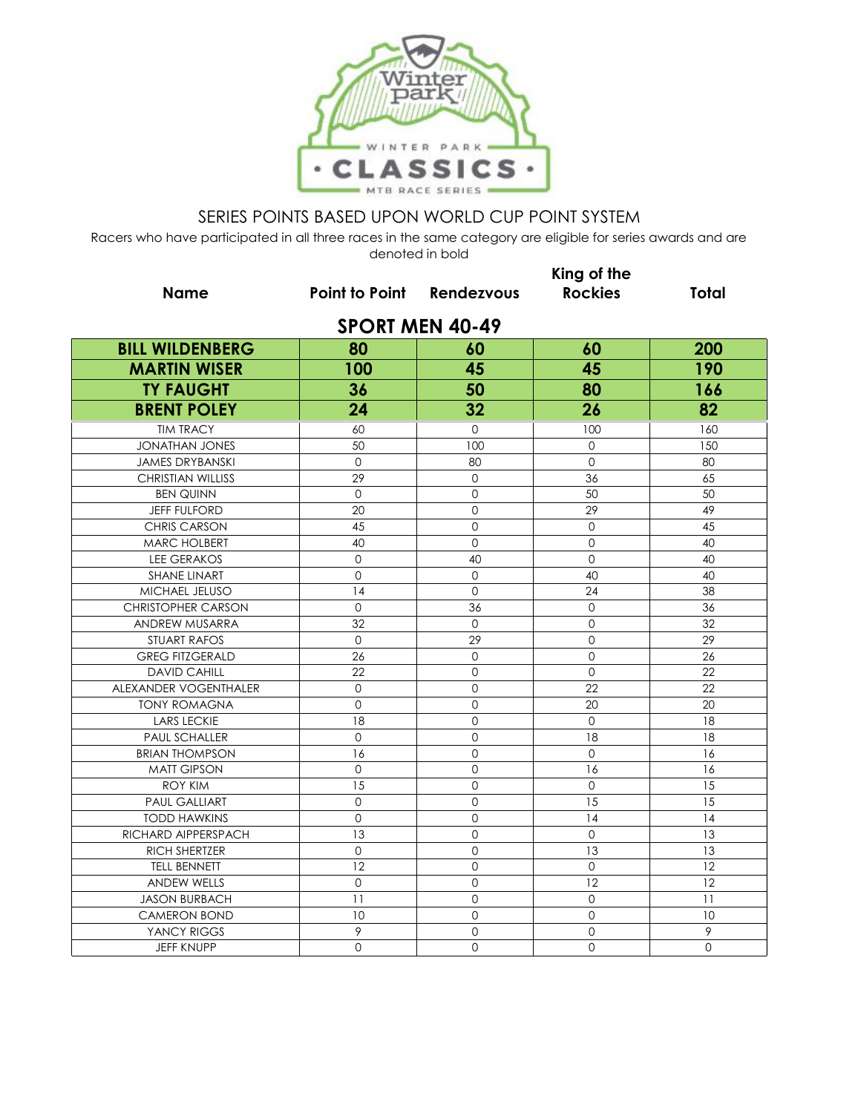

| <b>Name</b>               | <b>Point to Point Rendezvous</b> |                            | King of the<br><b>Rockies</b> | <b>Total</b> |
|---------------------------|----------------------------------|----------------------------|-------------------------------|--------------|
|                           |                                  | <b>SPORT MEN 40-49</b>     |                               |              |
| <b>BILL WILDENBERG</b>    | 80                               | 60                         | 60                            | 200          |
| <b>MARTIN WISER</b>       | 100                              | 45                         | 45                            | 190          |
| <b>TY FAUGHT</b>          | 36                               | 50                         | 80                            | 166          |
| <b>BRENT POLEY</b>        | 24                               | 32                         | 26                            | 82           |
| <b>TIM TRACY</b>          |                                  | $\mathbf{0}$               | 100                           |              |
| <b>JONATHAN JONES</b>     | 60<br>50                         | 100                        | $\Omega$                      | 160<br>150   |
|                           | $\overline{0}$                   |                            |                               |              |
| <b>JAMES DRYBANSKI</b>    |                                  | 80<br>$\mathbf{O}$         | $\mathbf{0}$                  | 80           |
| <b>CHRISTIAN WILLISS</b>  | 29                               |                            | 36                            | 65           |
| <b>BEN QUINN</b>          | $\mathbf{O}$                     | $\mathbf{O}$               | 50<br>29                      | 50           |
| <b>JEFF FULFORD</b>       | 20<br>45                         | $\Omega$<br>$\overline{O}$ | $\mathbf 0$                   | 49<br>45     |
| <b>CHRIS CARSON</b>       |                                  |                            |                               |              |
| MARC HOLBERT              | 40                               | $\mathsf{O}\xspace$        | 0                             | 40           |
| <b>LEE GERAKOS</b>        | $\mathsf{O}\xspace$              | 40                         | $\mathbf{O}$                  | 40           |
| <b>SHANE LINART</b>       | $\overline{0}$                   | $\mathbf 0$                | 40                            | 40           |
| MICHAEL JELUSO            | 14                               | $\Omega$                   | 24                            | 38           |
| <b>CHRISTOPHER CARSON</b> | $\mathbf{O}$                     | 36                         | $\mathbf{O}$                  | 36           |
| ANDREW MUSARRA            | 32                               | $\overline{O}$             | $\overline{0}$                | 32           |
| <b>STUART RAFOS</b>       | $\Omega$                         | 29                         | 0                             | 29           |
| <b>GREG FITZGERALD</b>    | 26                               | $\mathbf{O}$               | $\mathbf 0$                   | 26           |
| <b>DAVID CAHILL</b>       | 22                               | $\mathbf{O}$               | $\mathbf 0$                   | 22           |
| ALEXANDER VOGENTHALER     | $\mathsf{O}\xspace$              | $\Omega$                   | 22                            | 22           |
| <b>TONY ROMAGNA</b>       | $\Omega$                         | $\Omega$                   | 20                            | 20           |
| <b>LARS LECKIE</b>        | 18                               | $\Omega$                   | $\Omega$                      | 18           |
| <b>PAUL SCHALLER</b>      | $\mathbf 0$                      | $\mathbf 0$                | 18                            | 18           |
| <b>BRIAN THOMPSON</b>     | 16                               | $\Omega$                   | $\mathbf{O}$                  | 16           |
| <b>MATT GIPSON</b>        | $\mathbf 0$                      | $\mathbf 0$                | 16                            | 16           |
| <b>ROY KIM</b>            | 15                               | $\Omega$                   | $\Omega$                      | 15           |
| <b>PAUL GALLIART</b>      | $\mathbf{O}$                     | $\mathbf 0$                | 15                            | 15           |
| <b>TODD HAWKINS</b>       | $\mathbf 0$                      | $\Omega$                   | 14                            | 14           |
| RICHARD AIPPERSPACH       | 13                               | $\mathbf 0$                | $\mathbf{O}$                  | 13           |
| <b>RICH SHERTZER</b>      | $\mathbf{O}$                     | $\mathbf 0$                | 13                            | 13           |
| <b>TELL BENNETT</b>       | 12                               | $\mathbf 0$                | $\mathbf 0$                   | 12           |
| <b>ANDEW WELLS</b>        | 0                                | $\Omega$                   | 12                            | 12           |
| <b>JASON BURBACH</b>      | 11                               | $\Omega$                   | $\mathbf{O}$                  | 11           |
| <b>CAMERON BOND</b>       | 10                               | $\overline{0}$             | $\overline{0}$                | 10           |
| YANCY RIGGS               | 9                                | $\mathbf{O}$               | 0                             | 9            |
| <b>JEFF KNUPP</b>         | $\mathbf{O}$                     | $\overline{0}$             | $\overline{0}$                | $\mathbf 0$  |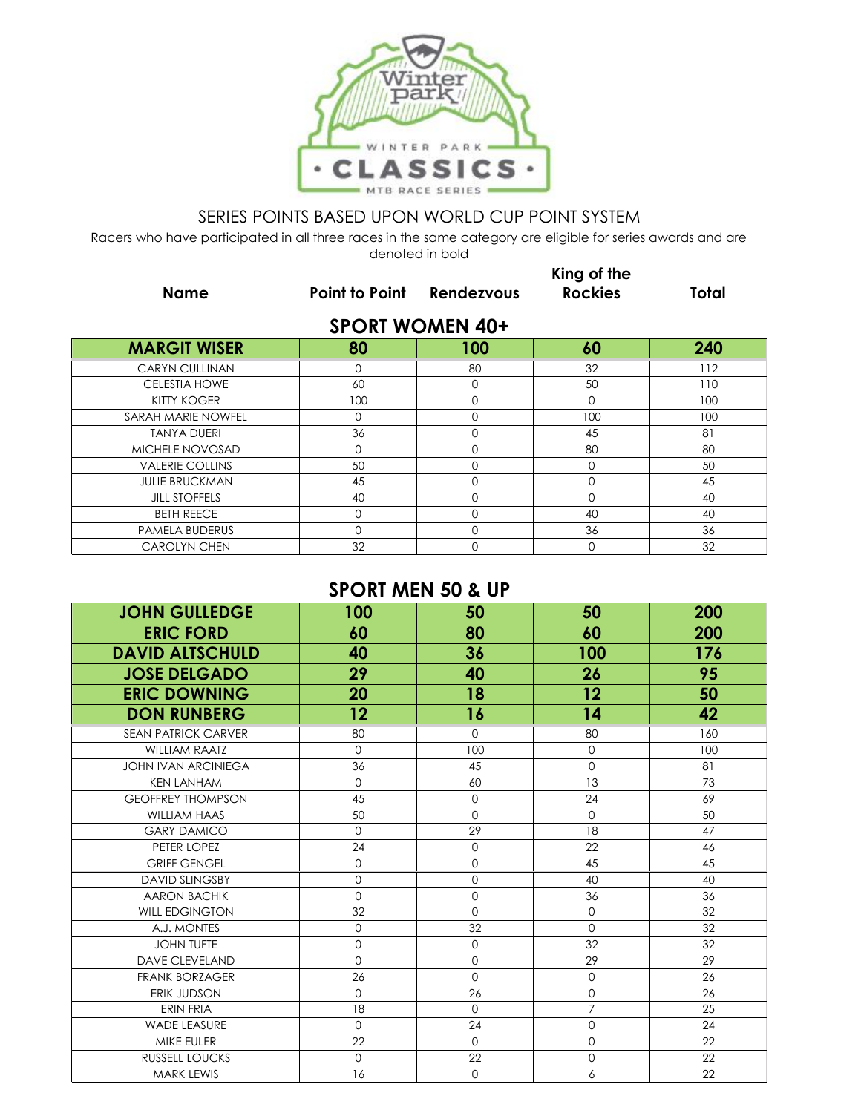

Racers who have participated in all three races in the same category are eligible for series awards and are denoted in bold

| <b>Name</b>            | Point to Point | Rendezvous             | King of the<br><b>Rockies</b> | <b>Total</b> |
|------------------------|----------------|------------------------|-------------------------------|--------------|
|                        |                | <b>SPORT WOMEN 40+</b> |                               |              |
| <b>MARGIT WISER</b>    | 80             | 100                    | 60                            | 240          |
| <b>CARYN CULLINAN</b>  | 0              | 80                     | 32                            | 112          |
| <b>CELESTIA HOWE</b>   | 60             | $\mathbf 0$            | 50                            | 110          |
| <b>KITTY KOGER</b>     | 100            | $\Omega$               | 0                             | 100          |
| SARAH MARIE NOWFEL     | $\mathbf 0$    | $\mathbf 0$            | 100                           | 100          |
| <b>TANYA DUERI</b>     | 36             | $\Omega$               | 45                            | 81           |
| MICHELE NOVOSAD        | $\Omega$       | $\Omega$               | 80                            | 80           |
| <b>VALERIE COLLINS</b> | 50             | $\Omega$               | $\mathbf 0$                   | 50           |
| <b>JULIE BRUCKMAN</b>  | 45             | $\Omega$               | $\mathbf 0$                   | 45           |
| <b>JILL STOFFELS</b>   | 40             | $\Omega$               | $\Omega$                      | 40           |
| <b>BETH REECE</b>      | $\mathbf 0$    | $\Omega$               | 40                            | 40           |
| <b>PAMELA BUDERUS</b>  | $\Omega$       | $\Omega$               | 36                            | 36           |
| <b>CAROLYN CHEN</b>    | 32             | $\Omega$               | $\Omega$                      | 32           |

## **SPORT MEN 50 & UP**

| <b>JOHN GULLEDGE</b>       | 100            | 50           | 50             | 200 |
|----------------------------|----------------|--------------|----------------|-----|
| <b>ERIC FORD</b>           | 60             | 80           | 60             | 200 |
| <b>DAVID ALTSCHULD</b>     | 40             | 36           | 100            | 176 |
| <b>JOSE DELGADO</b>        | 29             | 40           | 26             | 95  |
| <b>ERIC DOWNING</b>        | 20             | 18           | 12             | 50  |
| <b>DON RUNBERG</b>         | $12 \,$        | 16           | 14             | 42  |
| <b>SEAN PATRICK CARVER</b> | 80             | $\mathbf 0$  | 80             | 160 |
| <b>WILLIAM RAATZ</b>       | $\Omega$       | 100          | $\mathbf{0}$   | 100 |
| <b>JOHN IVAN ARCINIEGA</b> | 36             | 45           | $\mathbf{O}$   | 81  |
| <b>KEN LANHAM</b>          | $\overline{0}$ | 60           | 13             | 73  |
| <b>GEOFFREY THOMPSON</b>   | 45             | $\mathbf{0}$ | 24             | 69  |
| <b>WILLIAM HAAS</b>        | 50             | $\Omega$     | $\Omega$       | 50  |
| <b>GARY DAMICO</b>         | $\Omega$       | 29           | 18             | 47  |
| PETER LOPEZ                | 24             | $\Omega$     | 22             | 46  |
| <b>GRIFF GENGEL</b>        | $\mathbf 0$    | $\mathbf 0$  | 45             | 45  |
| <b>DAVID SLINGSBY</b>      | $\Omega$       | $\Omega$     | 40             | 40  |
| <b>AARON BACHIK</b>        | $\mathbf 0$    | $\mathbf 0$  | 36             | 36  |
| <b>WILL EDGINGTON</b>      | 32             | $\mathbf 0$  | $\mathbf 0$    | 32  |
| A.J. MONTES                | $\Omega$       | 32           | $\Omega$       | 32  |
| <b>JOHN TUFTE</b>          | $\mathbf 0$    | $\mathbf{O}$ | 32             | 32  |
| <b>DAVE CLEVELAND</b>      | $\Omega$       | $\mathbf 0$  | 29             | 29  |
| <b>FRANK BORZAGER</b>      | 26             | $\Omega$     | $\mathbf 0$    | 26  |
| ERIK JUDSON                | $\Omega$       | 26           | $\mathbf 0$    | 26  |
| <b>ERIN FRIA</b>           | 18             | $\Omega$     | $\overline{7}$ | 25  |
| WADE LEASURE               | $\Omega$       | 24           | $\mathbf 0$    | 24  |
| MIKE EULER                 | 22             | $\Omega$     | $\overline{0}$ | 22  |
| <b>RUSSELL LOUCKS</b>      | $\Omega$       | 22           | $\Omega$       | 22  |
| <b>MARK LEWIS</b>          | 16             | $\Omega$     | 6              | 22  |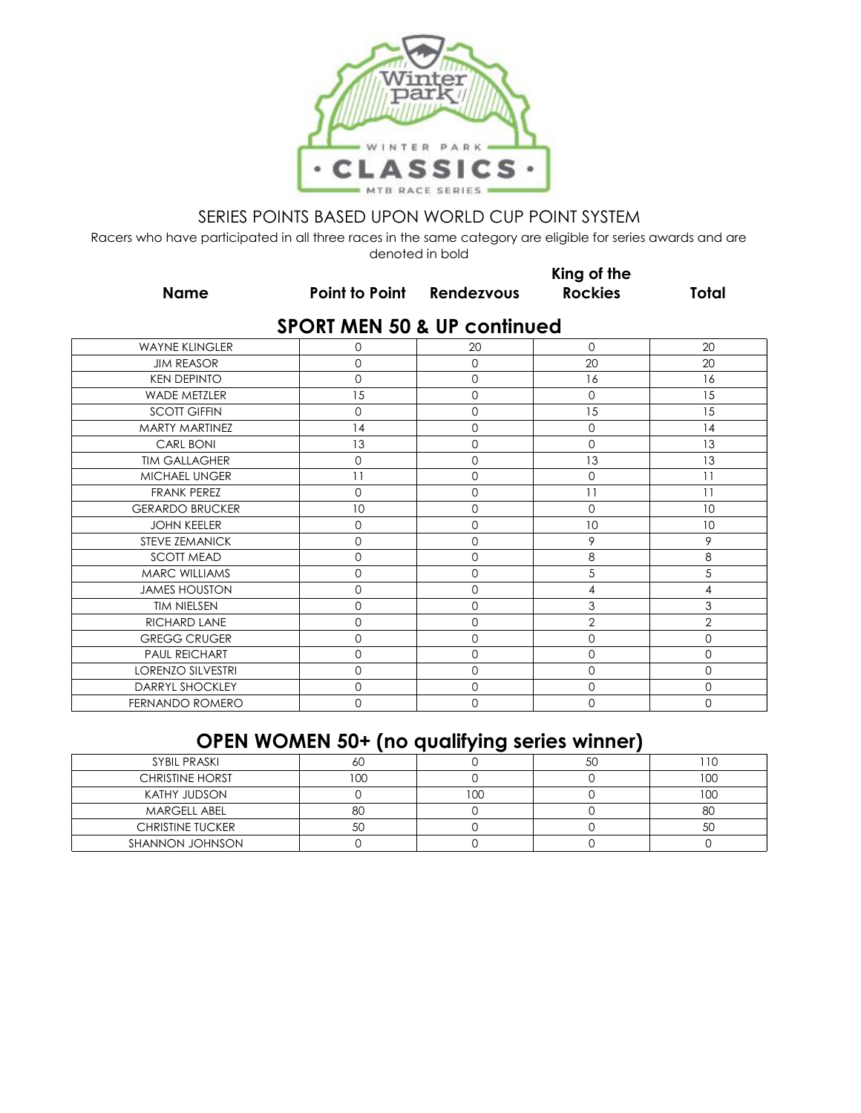

Racers who have participated in all three races in the same category are eligible for series awards and are denoted in bold

**Name Point to Point Rendezvous**

**King of the Rockies Total**

|  |  |  |  |  |  | <b>SPORT MEN 50 &amp; UP continued</b> |  |
|--|--|--|--|--|--|----------------------------------------|--|
|--|--|--|--|--|--|----------------------------------------|--|

| <b>WAYNE KLINGLER</b>    | 0        | 20          | $\mathbf 0$         | 20             |
|--------------------------|----------|-------------|---------------------|----------------|
| <b>JIM REASOR</b>        | 0        | $\Omega$    | 20                  | 20             |
| <b>KEN DEPINTO</b>       | 0        | $\mathbf 0$ | 16                  | 16             |
| <b>WADE METZLER</b>      | 15       | $\mathbf 0$ | $\mathbf 0$         | 15             |
| <b>SCOTT GIFFIN</b>      | $\Omega$ | $\Omega$    | 15                  | 15             |
| MARTY MARTINEZ           | 14       | $\Omega$    | $\mathsf{O}\xspace$ | 14             |
| <b>CARL BONI</b>         | 13       | $\Omega$    | $\mathbf 0$         | 13             |
| <b>TIM GALLAGHER</b>     | $\Omega$ | $\Omega$    | 13                  | 13             |
| MICHAEL UNGER            | 11       | 0           | $\mathbf 0$         | 11             |
| <b>FRANK PEREZ</b>       | $\Omega$ | $\mathbf 0$ | 11                  | 11             |
| <b>GERARDO BRUCKER</b>   | 10       | $\Omega$    | $\mathbf 0$         | 10             |
| <b>JOHN KEELER</b>       | 0        | 0           | 10                  | 10             |
| STEVE ZEMANICK           | $\Omega$ | $\Omega$    | 9                   | 9              |
| <b>SCOTT MEAD</b>        | 0        | $\Omega$    | 8                   | 8              |
| MARC WILLIAMS            | 0        | $\mathbf 0$ | 5                   | 5              |
| <b>JAMES HOUSTON</b>     | $\Omega$ | 0           | 4                   | 4              |
| <b>TIM NIELSEN</b>       | 0        | 0           | 3                   | 3              |
| RICHARD LANE             | $\Omega$ | $\Omega$    | $\overline{2}$      | $\overline{2}$ |
| <b>GREGG CRUGER</b>      | 0        | $\mathbf 0$ | $\mathbf 0$         | $\mathbf 0$    |
| PAUL REICHART            | 0        | 0           | $\mathbf 0$         | $\mathbf 0$    |
| <b>LORENZO SILVESTRI</b> | $\Omega$ | $\Omega$    | $\mathbf 0$         | $\Omega$       |
| DARRYL SHOCKLEY          | $\Omega$ | $\mathbf 0$ | $\mathbf 0$         | $\mathbf 0$    |
| FERNANDO ROMERO          | 0        | $\Omega$    | 0                   | $\Omega$       |

# **OPEN WOMEN 50+ (no qualifying series winner)**

| SYBIL PRASKI            | ou |     | 50 |     |
|-------------------------|----|-----|----|-----|
| <b>CHRISTINE HORST</b>  |    |     |    | 100 |
| KATHY JUDSON            |    | 100 |    | 10C |
| <b>MARGELL ABEL</b>     | 80 |     |    | 80  |
| <b>CHRISTINE TUCKER</b> | 5U |     |    | 5C  |
| SHANNON JOHNSON         |    |     |    |     |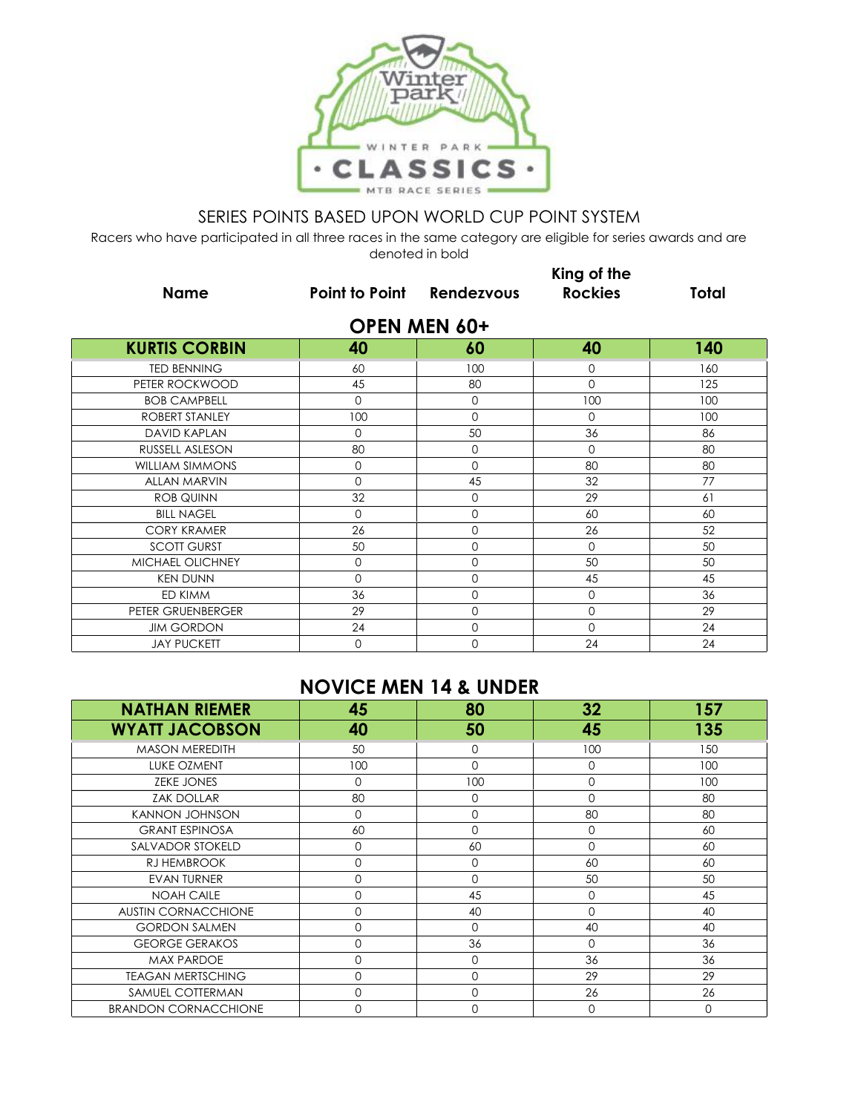

Racers who have participated in all three races in the same category are eligible for series awards and are denoted in bold

|                        |                           |                     | King of the    |              |
|------------------------|---------------------------|---------------------|----------------|--------------|
| <b>Name</b>            | Point to Point Rendezvous |                     | <b>Rockies</b> | <b>Total</b> |
|                        |                           | <b>OPEN MEN 60+</b> |                |              |
| <b>KURTIS CORBIN</b>   | 40                        | 60                  | 40             | 140          |
| <b>TED BENNING</b>     | 60                        | 100                 | 0              | 160          |
| PETER ROCKWOOD         | 45                        | 80                  | $\Omega$       | 125          |
| <b>BOB CAMPBELL</b>    | $\Omega$                  | $\Omega$            | 100            | 100          |
| ROBERT STANLEY         | 100                       | $\Omega$            | $\Omega$       | 100          |
| <b>DAVID KAPLAN</b>    | $\mathbf 0$               | 50                  | 36             | 86           |
| RUSSELL ASLESON        | 80                        | $\mathbf 0$         | $\mathbf 0$    | 80           |
| <b>WILLIAM SIMMONS</b> | $\Omega$                  | $\Omega$            | 80             | 80           |
| <b>ALLAN MARVIN</b>    | $\Omega$                  | 45                  | 32             | 77           |
| <b>ROB QUINN</b>       | 32                        | $\Omega$            | 29             | 61           |
| <b>BILL NAGEL</b>      | $\Omega$                  | $\Omega$            | 60             | 60           |
| <b>CORY KRAMER</b>     | 26                        | $\mathbf 0$         | 26             | 52           |
| <b>SCOTT GURST</b>     | 50                        | $\Omega$            | $\Omega$       | 50           |
| MICHAEL OLICHNEY       | $\mathbf 0$               | $\Omega$            | 50             | 50           |
| <b>KEN DUNN</b>        | $\Omega$                  | $\Omega$            | 45             | 45           |
| ED KIMM                | 36                        | $\mathbf 0$         | $\mathbf 0$    | 36           |
| PETER GRUENBERGER      | 29                        | $\mathbf 0$         | 0              | 29           |
| <b>JIM GORDON</b>      | 24                        | $\mathbf{O}$        | 0              | 24           |
| <b>JAY PUCKETT</b>     | $\mathbf 0$               | $\mathbf 0$         | 24             | 24           |

## **NOVICE MEN 14 & UNDER**

| <b>NATHAN RIEMER</b>        | 45          | 80          | 32           | 157      |
|-----------------------------|-------------|-------------|--------------|----------|
| <b>WYATT JACOBSON</b>       | 40          | 50          | 45           | 135      |
| <b>MASON MEREDITH</b>       | 50          | $\mathbf 0$ | 100          | 150      |
| LUKE OZMENT                 | 100         | $\Omega$    | $\Omega$     | 100      |
| <b>ZEKE JONES</b>           | $\Omega$    | 100         | $\mathbf 0$  | 100      |
| <b>ZAK DOLLAR</b>           | 80          | $\Omega$    | $\Omega$     | 80       |
| <b>KANNON JOHNSON</b>       | 0           | 0           | 80           | 80       |
| <b>GRANT ESPINOSA</b>       | 60          | $\Omega$    | $\mathbf 0$  | 60       |
| SALVADOR STOKELD            | $\Omega$    | 60          | $\Omega$     | 60       |
| RJ HEMBROOK                 | $\mathbf 0$ | $\Omega$    | 60           | 60       |
| <b>EVAN TURNER</b>          | $\mathbf 0$ | $\Omega$    | 50           | 50       |
| <b>NOAH CAILE</b>           | $\Omega$    | 45          | $\mathbf{O}$ | 45       |
| <b>AUSTIN CORNACCHIONE</b>  | $\mathbf 0$ | 40          | $\Omega$     | 40       |
| <b>GORDON SALMEN</b>        | $\mathbf 0$ | $\Omega$    | 40           | 40       |
| <b>GEORGE GERAKOS</b>       | $\Omega$    | 36          | $\Omega$     | 36       |
| <b>MAX PARDOE</b>           | $\mathbf 0$ | $\Omega$    | 36           | 36       |
| <b>TEAGAN MERTSCHING</b>    | $\mathbf 0$ | $\mathbf 0$ | 29           | 29       |
| SAMUEL COTTERMAN            | $\mathbf 0$ | $\mathbf 0$ | 26           | 26       |
| <b>BRANDON CORNACCHIONE</b> | $\Omega$    | $\Omega$    | $\mathbf 0$  | $\Omega$ |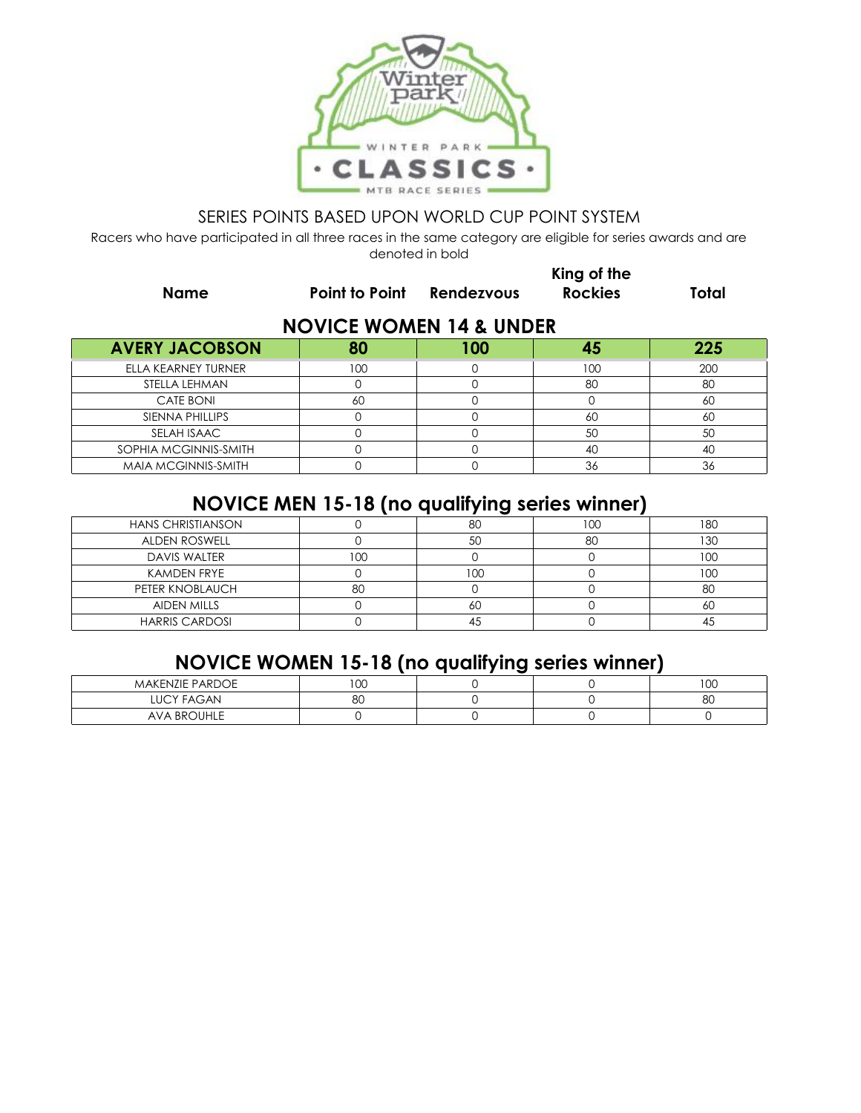

Racers who have participated in all three races in the same category are eligible for series awards and are denoted in bold

|                                    |                       | King of the |                |       |  |
|------------------------------------|-----------------------|-------------|----------------|-------|--|
| <b>Name</b>                        | <b>Point to Point</b> | Rendezvous  | <b>Rockies</b> | Total |  |
| <b>NOVICE WOMEN 14 &amp; UNDER</b> |                       |             |                |       |  |
| <b>AVERY JACOBSON</b>              | 80                    | 100         | 45             | 225   |  |
| ELLA KEARNEY TURNER                | 100                   |             | 100            | 200   |  |
| STELLA LEHMAN                      |                       |             | 80             | 80    |  |
| CATE BONI                          | 60                    |             |                | 60    |  |
| SIENNA PHILLIPS                    |                       |             | 60             | 60    |  |

## **NOVICE MEN 15-18 (no qualifying series winner)**

SELAH ISAAC 0 0 50 50 SOPHIA MCGINNIS-SMITH 0 0 0 0 40 40 40 MAIA MCGINNIS-SMITH 0 0 0 36 36

|                          |      | . .  |     |     |
|--------------------------|------|------|-----|-----|
| <b>HANS CHRISTIANSON</b> |      | 80   | 100 | 180 |
| ALDEN ROSWELL            |      | 50   | 80  | 130 |
| DAVIS WALTER             | I OC |      |     | 100 |
| KAMDEN FRYE              |      | l OO |     | 10C |
| PETER KNOBLAUCH          | 80   |      |     | 8C  |
| <b>AIDEN MILLS</b>       |      | 6С   |     | 60  |
| <b>HARRIS CARDOSI</b>    |      |      |     |     |

# **NOVICE WOMEN 15-18 (no qualifying series winner)**

| <b>MAKENZIE PARDOE</b> | $\sim$<br>w |  | 100 |
|------------------------|-------------|--|-----|
| <b>LUCY FAGAN</b>      | 80          |  | 8C  |
| <b>AVA BROUHLE</b>     |             |  |     |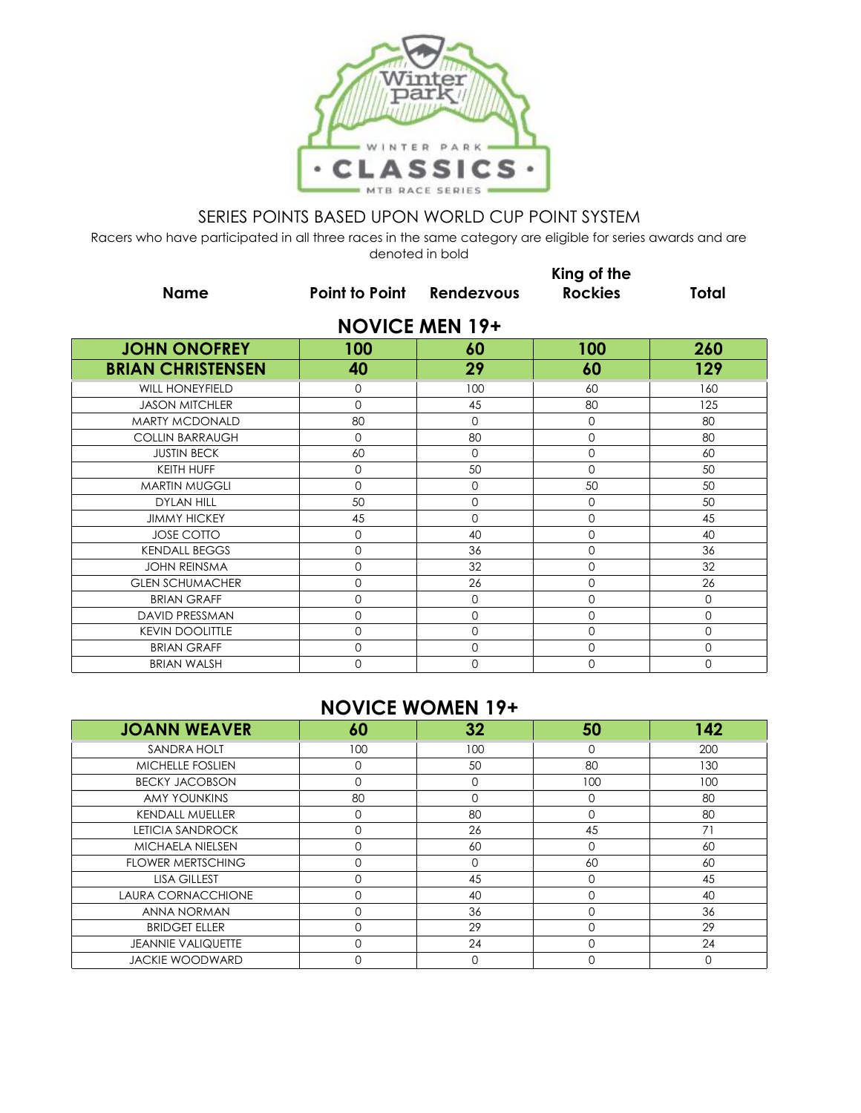

Racers who have participated in all three races in the same category are eligible for series awards and are denoted in bold

|                          | King of the                      |                       |                |              |
|--------------------------|----------------------------------|-----------------------|----------------|--------------|
| <b>Name</b>              | <b>Point to Point Rendezvous</b> |                       | <b>Rockies</b> | <b>Total</b> |
|                          |                                  | <b>NOVICE MEN 19+</b> |                |              |
| <b>JOHN ONOFREY</b>      | 100                              | 60                    | 100            | 260          |
| <b>BRIAN CHRISTENSEN</b> | 40                               | 29                    | 60             | 129          |
| <b>WILL HONEYFIELD</b>   | $\Omega$                         | 100                   | 60             | 160          |
| <b>JASON MITCHLER</b>    | $\Omega$                         | 45                    | 80             | 125          |
| <b>MARTY MCDONALD</b>    | 80                               | $\Omega$              | 0              | 80           |
| <b>COLLIN BARRAUGH</b>   | $\Omega$                         | 80                    | 0              | 80           |
| <b>JUSTIN BECK</b>       | 60                               | $\Omega$              | 0              | 60           |
| KEITH HUFF               | $\mathbf 0$                      | 50                    | $\Omega$       | 50           |
| <b>MARTIN MUGGLI</b>     | $\Omega$                         | $\mathbf 0$           | 50             | 50           |
| <b>DYLAN HILL</b>        | 50                               | $\mathbf 0$           | 0              | 50           |
| <b>JIMMY HICKEY</b>      | 45                               | $\Omega$              | 0              | 45           |
| <b>JOSE COTTO</b>        | $\mathbf 0$                      | 40                    | 0              | 40           |
| <b>KENDALL BEGGS</b>     | $\mathbf 0$                      | 36                    | 0              | 36           |
| <b>JOHN REINSMA</b>      | $\mathbf 0$                      | 32                    | 0              | 32           |
| <b>GLEN SCHUMACHER</b>   | $\Omega$                         | 26                    | 0              | 26           |
| <b>BRIAN GRAFF</b>       | $\Omega$                         | $\Omega$              | 0              | $\mathbf{O}$ |
| DAVID PRESSMAN           | $\Omega$                         | $\Omega$              | 0              | $\mathbf{O}$ |
| <b>KEVIN DOOLITTLE</b>   | $\Omega$                         | $\Omega$              | 0              | $\mathbf 0$  |
| <b>BRIAN GRAFF</b>       | $\mathbf 0$                      | $\mathbf 0$           | 0              | $\mathbf 0$  |
| <b>BRIAN WALSH</b>       | $\Omega$                         | $\mathbf{0}$          | 0              | $\mathbf 0$  |

## **NOVICE WOMEN 19+**

| <b>JOANN WEAVER</b>       | 60       | 32  | 50       | 142 |
|---------------------------|----------|-----|----------|-----|
| SANDRA HOLT               | 100      | 100 |          | 200 |
| <b>MICHELLE FOSLIEN</b>   | $\Omega$ | 50  | 80       | 130 |
| <b>BECKY JACOBSON</b>     | $\Omega$ |     | 100      | 100 |
| <b>AMY YOUNKINS</b>       | 80       |     | 0        | 80  |
| <b>KENDALL MUELLER</b>    |          | 80  |          | 80  |
| <b>LETICIA SANDROCK</b>   |          | 26  | 45       | 71  |
| <b>MICHAELA NIELSEN</b>   | $\Omega$ | 60  | $\Omega$ | 60  |
| <b>FLOWER MERTSCHING</b>  |          |     | 60       | 60  |
| <b>LISA GILLEST</b>       |          | 45  | $\Omega$ | 45  |
| LAURA CORNACCHIONE        |          | 40  |          | 40  |
| ANNA NORMAN               | $\cap$   | 36  |          | 36  |
| <b>BRIDGET ELLER</b>      |          | 29  |          | 29  |
| <b>JEANNIE VALIQUETTE</b> | $\Omega$ | 24  | ∩        | 24  |
| <b>JACKIE WOODWARD</b>    |          |     |          |     |